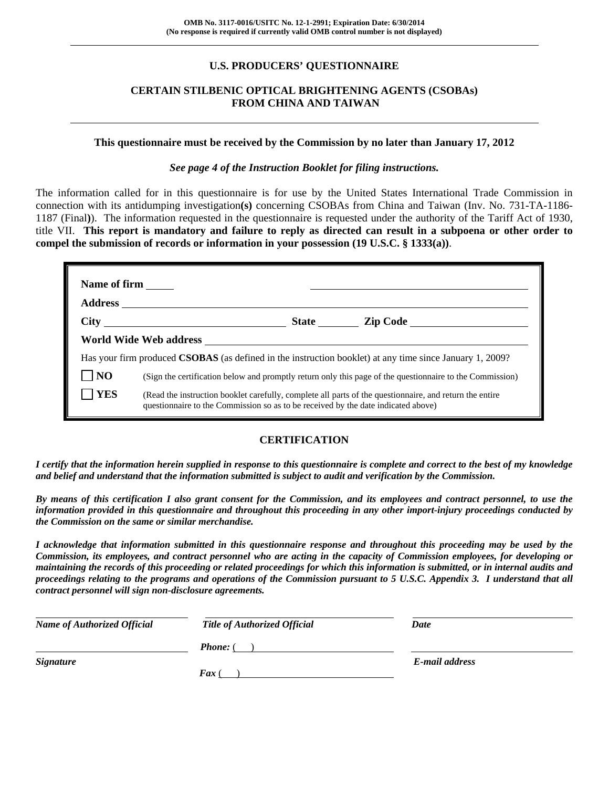# **U.S. PRODUCERS' QUESTIONNAIRE**

## **CERTAIN STILBENIC OPTICAL BRIGHTENING AGENTS (CSOBAs) FROM CHINA AND TAIWAN**

#### **This questionnaire must be received by the Commission by no later than January 17, 2012**

## *See page 4 of the Instruction Booklet for filing instructions.*

The information called for in this questionnaire is for use by the United States International Trade Commission in connection with its antidumping investigation**(s)** concerning CSOBAs from China and Taiwan (Inv. No. 731-TA-1186- 1187 (Final**)**). The information requested in the questionnaire is requested under the authority of the Tariff Act of 1930, title VII. **This report is mandatory and failure to reply as directed can result in a subpoena or other order to compel the submission of records or information in your possession (19 U.S.C. § 1333(a))**.

| Name of firm   |                                                                                                                                                                                              |  |                       |
|----------------|----------------------------------------------------------------------------------------------------------------------------------------------------------------------------------------------|--|-----------------------|
|                |                                                                                                                                                                                              |  | State <u>Lip Code</u> |
|                |                                                                                                                                                                                              |  |                       |
|                | Has your firm produced <b>CSOBAS</b> (as defined in the instruction booklet) at any time since January 1, 2009?                                                                              |  |                       |
| N <sub>O</sub> | (Sign the certification below and promptly return only this page of the questionnaire to the Commission)                                                                                     |  |                       |
| <b>YES</b>     | (Read the instruction booklet carefully, complete all parts of the questionnaire, and return the entire<br>questionnaire to the Commission so as to be received by the date indicated above) |  |                       |

## **CERTIFICATION**

*I certify that the information herein supplied in response to this questionnaire is complete and correct to the best of my knowledge and belief and understand that the information submitted is subject to audit and verification by the Commission.* 

*By means of this certification I also grant consent for the Commission, and its employees and contract personnel, to use the information provided in this questionnaire and throughout this proceeding in any other import-injury proceedings conducted by the Commission on the same or similar merchandise.* 

*I acknowledge that information submitted in this questionnaire response and throughout this proceeding may be used by the Commission, its employees, and contract personnel who are acting in the capacity of Commission employees, for developing or maintaining the records of this proceeding or related proceedings for which this information is submitted, or in internal audits and proceedings relating to the programs and operations of the Commission pursuant to 5 U.S.C. Appendix 3. I understand that all contract personnel will sign non-disclosure agreements.* 

| <b>Name of Authorized Official</b> | <b>Title of Authorized Official</b> | Date           |
|------------------------------------|-------------------------------------|----------------|
|                                    | <b>Phone:</b> (                     |                |
| <b>Signature</b>                   |                                     | E-mail address |
|                                    | $\boldsymbol{F}$ ax (               |                |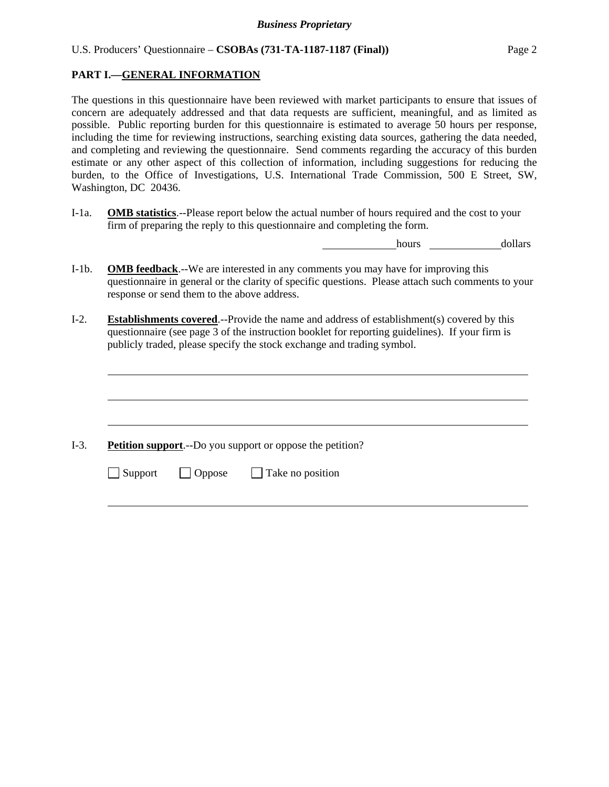## **PART I.—GENERAL INFORMATION**

The questions in this questionnaire have been reviewed with market participants to ensure that issues of concern are adequately addressed and that data requests are sufficient, meaningful, and as limited as possible. Public reporting burden for this questionnaire is estimated to average 50 hours per response, including the time for reviewing instructions, searching existing data sources, gathering the data needed, and completing and reviewing the questionnaire. Send comments regarding the accuracy of this burden estimate or any other aspect of this collection of information, including suggestions for reducing the burden, to the Office of Investigations, U.S. International Trade Commission, 500 E Street, SW, Washington, DC 20436.

I-1a. **OMB statistics**.--Please report below the actual number of hours required and the cost to your firm of preparing the reply to this questionnaire and completing the form.

hours dollars

- I-1b. **OMB feedback**.--We are interested in any comments you may have for improving this questionnaire in general or the clarity of specific questions. Please attach such comments to your response or send them to the above address.
- I-2. **Establishments covered**.--Provide the name and address of establishment(s) covered by this questionnaire (see page 3 of the instruction booklet for reporting guidelines). If your firm is publicly traded, please specify the stock exchange and trading symbol.

I-3. **Petition support**.--Do you support or oppose the petition?

 $\Box$  Support  $\Box$  Oppose  $\Box$  Take no position

l

l

l

l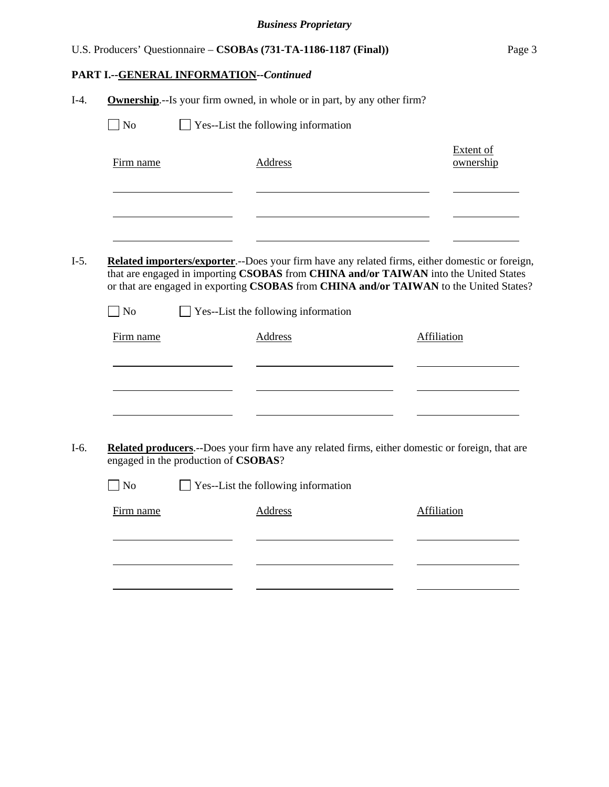| U.S. Producers' Questionnaire – CSOBAs (731-TA-1186-1187 (Final)) | Page 3 |
|-------------------------------------------------------------------|--------|

# **PART I.--GENERAL INFORMATION***--Continued*

|                                                                                                 | <b>Ownership.</b> --Is your firm owned, in whole or in part, by any other firm?                                                                                                                                                                                                                                                 |                               |
|-------------------------------------------------------------------------------------------------|---------------------------------------------------------------------------------------------------------------------------------------------------------------------------------------------------------------------------------------------------------------------------------------------------------------------------------|-------------------------------|
| $\Box$ No                                                                                       | $\Box$ Yes--List the following information                                                                                                                                                                                                                                                                                      |                               |
| Firm name                                                                                       | Address                                                                                                                                                                                                                                                                                                                         | <b>Extent of</b><br>ownership |
|                                                                                                 |                                                                                                                                                                                                                                                                                                                                 |                               |
| $\Box$ No                                                                                       | Related importers/exporter.--Does your firm have any related firms, either domestic or foreign,<br>that are engaged in importing CSOBAS from CHINA and/or TAIWAN into the United States<br>or that are engaged in exporting CSOBAS from CHINA and/or TAIWAN to the United States?<br>$\Box$ Yes--List the following information |                               |
| Firm name                                                                                       | <b>Address</b>                                                                                                                                                                                                                                                                                                                  | Affiliation                   |
|                                                                                                 |                                                                                                                                                                                                                                                                                                                                 |                               |
|                                                                                                 |                                                                                                                                                                                                                                                                                                                                 |                               |
|                                                                                                 |                                                                                                                                                                                                                                                                                                                                 |                               |
| Related producers.--Does your firm have any related firms, either domestic or foreign, that are | engaged in the production of CSOBAS?                                                                                                                                                                                                                                                                                            |                               |
| $ $ No                                                                                          | $\Box$ Yes--List the following information                                                                                                                                                                                                                                                                                      |                               |
| Firm name                                                                                       | Address                                                                                                                                                                                                                                                                                                                         | Affiliation                   |
|                                                                                                 |                                                                                                                                                                                                                                                                                                                                 |                               |
|                                                                                                 |                                                                                                                                                                                                                                                                                                                                 |                               |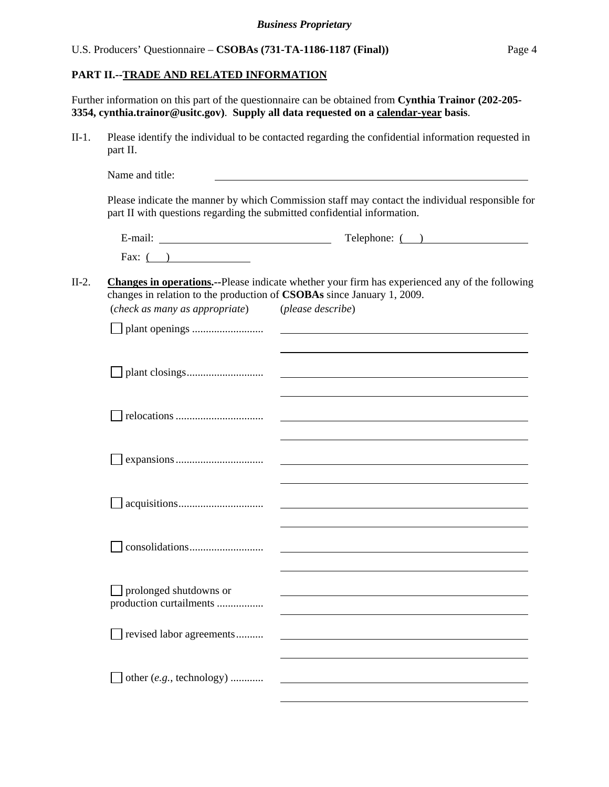## **PART II.--TRADE AND RELATED INFORMATION**

Further information on this part of the questionnaire can be obtained from **Cynthia Trainor (202-205- 3354, cynthia.trainor@usitc.gov)**. **Supply all data requested on a calendar-year basis**.

II-1. Please identify the individual to be contacted regarding the confidential information requested in part II.

Name and title: Please indicate the manner by which Commission staff may contact the individual responsible for part II with questions regarding the submitted confidential information.

| $\cdot$ $\cdot$ | Telephone: |
|-----------------|------------|
| ±-mail:         |            |
| Fax:            |            |

#### II-2. **Changes in operations.--**Please indicate whether your firm has experienced any of the following changes in relation to the production of **CSOBAs** since January 1, 2009. (*check as many as appropriate*) (*please describe*)

| (check as many as appropriate)     | <i>(pieuse descrive)</i> |
|------------------------------------|--------------------------|
|                                    |                          |
|                                    |                          |
|                                    |                          |
|                                    |                          |
|                                    |                          |
|                                    |                          |
|                                    |                          |
|                                    |                          |
|                                    |                          |
|                                    |                          |
|                                    |                          |
|                                    |                          |
|                                    |                          |
|                                    |                          |
|                                    |                          |
|                                    |                          |
|                                    |                          |
| $\Box$ prolonged shutdowns or      |                          |
| production curtailments            |                          |
|                                    |                          |
| revised labor agreements           |                          |
|                                    |                          |
|                                    |                          |
| other $(e.g., \text{ technology})$ |                          |
|                                    |                          |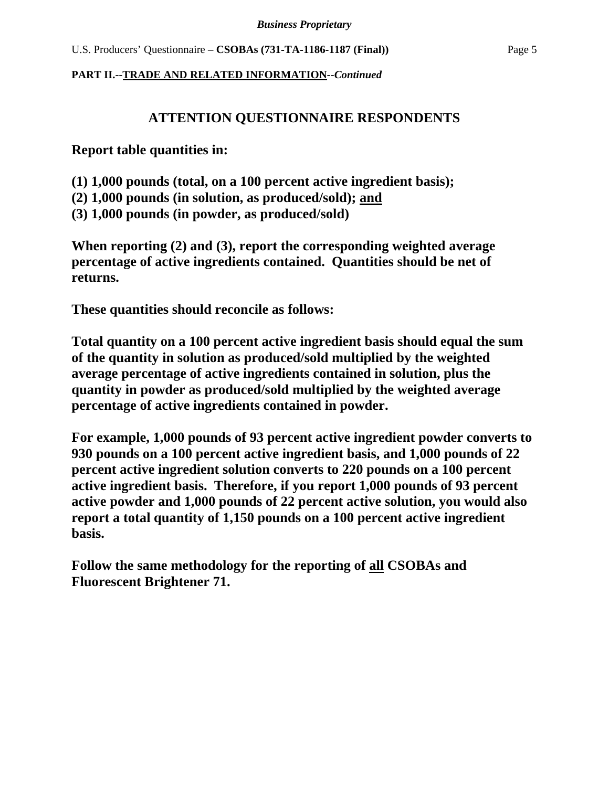# **ATTENTION QUESTIONNAIRE RESPONDENTS**

**Report table quantities in:** 

**(1) 1,000 pounds (total, on a 100 percent active ingredient basis);** 

**(2) 1,000 pounds (in solution, as produced/sold); and** 

**(3) 1,000 pounds (in powder, as produced/sold)** 

**When reporting (2) and (3), report the corresponding weighted average percentage of active ingredients contained. Quantities should be net of returns.** 

**These quantities should reconcile as follows:** 

**Total quantity on a 100 percent active ingredient basis should equal the sum of the quantity in solution as produced/sold multiplied by the weighted average percentage of active ingredients contained in solution, plus the quantity in powder as produced/sold multiplied by the weighted average percentage of active ingredients contained in powder.** 

**For example, 1,000 pounds of 93 percent active ingredient powder converts to 930 pounds on a 100 percent active ingredient basis, and 1,000 pounds of 22 percent active ingredient solution converts to 220 pounds on a 100 percent active ingredient basis. Therefore, if you report 1,000 pounds of 93 percent active powder and 1,000 pounds of 22 percent active solution, you would also report a total quantity of 1,150 pounds on a 100 percent active ingredient basis.** 

**Follow the same methodology for the reporting of all CSOBAs and Fluorescent Brightener 71.**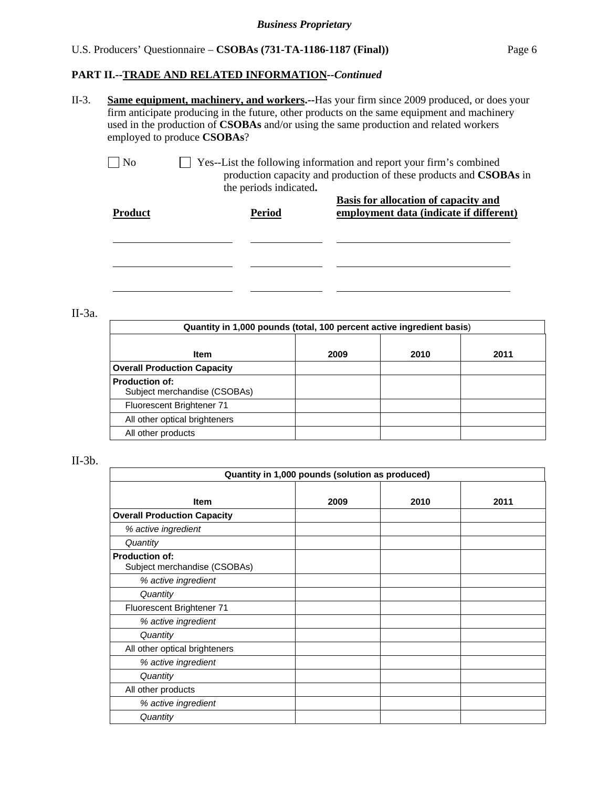II-3. **Same equipment, machinery, and workers.--**Has your firm since 2009 produced, or does your firm anticipate producing in the future, other products on the same equipment and machinery used in the production of **CSOBAs** and/or using the same production and related workers employed to produce **CSOBAs**?

 No Yes--List the following information and report your firm's combined production capacity and production of these products and **CSOBAs** in the periods indicated**. Basis for allocation of capacity and** 

| <b>Product</b> | <b>Period</b> | <b>Dasis for anotation of capacity and</b><br>employment data (indicate if different) |
|----------------|---------------|---------------------------------------------------------------------------------------|
|                |               |                                                                                       |
|                |               |                                                                                       |
|                |               |                                                                                       |

II-3a.

| Quantity in 1,000 pounds (total, 100 percent active ingredient basis) |      |      |      |
|-----------------------------------------------------------------------|------|------|------|
| Item                                                                  | 2009 | 2010 | 2011 |
| <b>Overall Production Capacity</b>                                    |      |      |      |
| <b>Production of:</b><br>Subject merchandise (CSOBAs)                 |      |      |      |
| Fluorescent Brightener 71                                             |      |      |      |
| All other optical brighteners                                         |      |      |      |
| All other products                                                    |      |      |      |

#### $II-3b.$

| Quantity in 1,000 pounds (solution as produced)       |      |      |      |
|-------------------------------------------------------|------|------|------|
| <b>Item</b>                                           | 2009 | 2010 | 2011 |
| <b>Overall Production Capacity</b>                    |      |      |      |
| % active ingredient                                   |      |      |      |
| Quantity                                              |      |      |      |
| <b>Production of:</b><br>Subject merchandise (CSOBAs) |      |      |      |
| % active ingredient                                   |      |      |      |
| Quantity                                              |      |      |      |
| Fluorescent Brightener 71                             |      |      |      |
| % active ingredient                                   |      |      |      |
| Quantity                                              |      |      |      |
| All other optical brighteners                         |      |      |      |
| % active ingredient                                   |      |      |      |
| Quantity                                              |      |      |      |
| All other products                                    |      |      |      |
| % active ingredient                                   |      |      |      |
| Quantity                                              |      |      |      |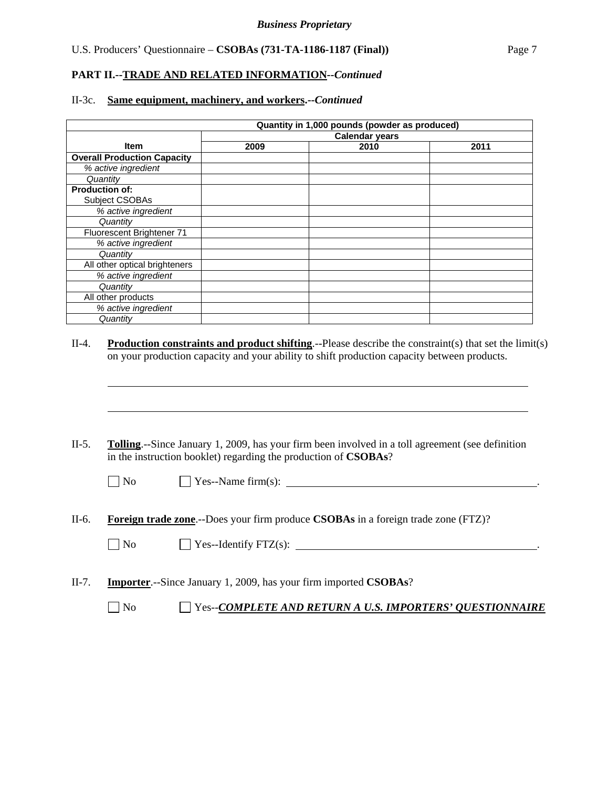#### **PART II.--TRADE AND RELATED INFORMATION***--Continued*

#### II-3c. **Same equipment, machinery, and workers.--***Continued*

|                                    | Quantity in 1,000 pounds (powder as produced) |      |      |
|------------------------------------|-----------------------------------------------|------|------|
|                                    | Calendar years                                |      |      |
| <b>Item</b>                        | 2009                                          | 2010 | 2011 |
| <b>Overall Production Capacity</b> |                                               |      |      |
| % active ingredient                |                                               |      |      |
| Quantity                           |                                               |      |      |
| <b>Production of:</b>              |                                               |      |      |
| Subject CSOBAs                     |                                               |      |      |
| % active ingredient                |                                               |      |      |
| Quantity                           |                                               |      |      |
| Fluorescent Brightener 71          |                                               |      |      |
| % active ingredient                |                                               |      |      |
| Quantity                           |                                               |      |      |
| All other optical brighteners      |                                               |      |      |
| % active ingredient                |                                               |      |      |
| Quantity                           |                                               |      |      |
| All other products                 |                                               |      |      |
| % active ingredient                |                                               |      |      |
| Quantity                           |                                               |      |      |

#### II-4. **Production constraints and product shifting**.--Please describe the constraint(s) that set the limit(s) on your production capacity and your ability to shift production capacity between products.

II-5. **Tolling**.--Since January 1, 2009, has your firm been involved in a toll agreement (see definition in the instruction booklet) regarding the production of **CSOBAs**?

l

l

 $\Box$  Yes--Name firm(s):

II-6. **Foreign trade zone**.--Does your firm produce **CSOBAs** in a foreign trade zone (FTZ)?

 $\Box$  Yes--Identify FTZ(s):  $\Box$ 

II-7. **Importer**.--Since January 1, 2009, has your firm imported **CSOBAs**?

No Yes--*COMPLETE AND RETURN A U.S. IMPORTERS' QUESTIONNAIRE*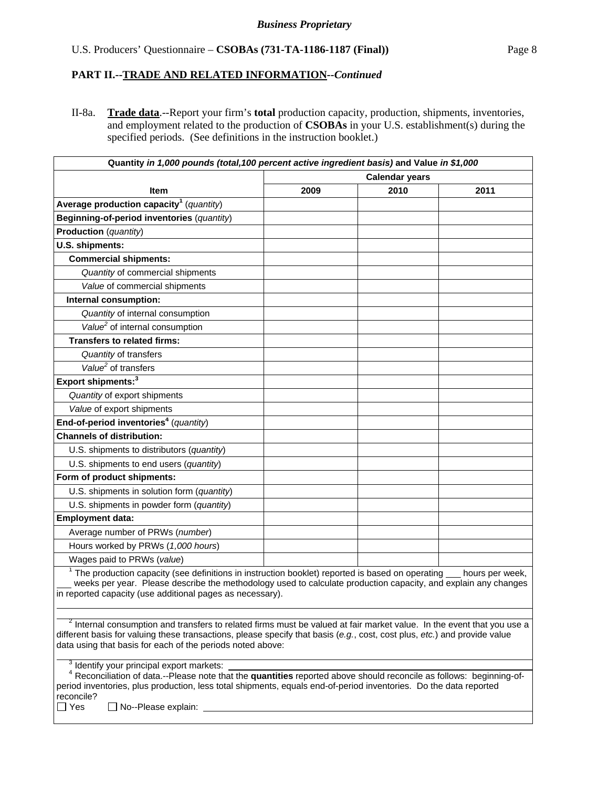II-8a. **Trade data**.--Report your firm's **total** production capacity, production, shipments, inventories, and employment related to the production of **CSOBAs** in your U.S. establishment(s) during the specified periods. (See definitions in the instruction booklet.)

| Quantity in 1,000 pounds (total, 100 percent active ingredient basis) and Value in \$1,000                                                                                                                                                                                                                                   |                       |      |                 |
|------------------------------------------------------------------------------------------------------------------------------------------------------------------------------------------------------------------------------------------------------------------------------------------------------------------------------|-----------------------|------|-----------------|
|                                                                                                                                                                                                                                                                                                                              | <b>Calendar years</b> |      |                 |
| Item                                                                                                                                                                                                                                                                                                                         | 2009                  | 2010 | 2011            |
| Average production capacity <sup>1</sup> (quantity)                                                                                                                                                                                                                                                                          |                       |      |                 |
| Beginning-of-period inventories (quantity)                                                                                                                                                                                                                                                                                   |                       |      |                 |
| Production (quantity)                                                                                                                                                                                                                                                                                                        |                       |      |                 |
| U.S. shipments:                                                                                                                                                                                                                                                                                                              |                       |      |                 |
| <b>Commercial shipments:</b>                                                                                                                                                                                                                                                                                                 |                       |      |                 |
| Quantity of commercial shipments                                                                                                                                                                                                                                                                                             |                       |      |                 |
| Value of commercial shipments                                                                                                                                                                                                                                                                                                |                       |      |                 |
| Internal consumption:                                                                                                                                                                                                                                                                                                        |                       |      |                 |
| Quantity of internal consumption                                                                                                                                                                                                                                                                                             |                       |      |                 |
| Value <sup>2</sup> of internal consumption                                                                                                                                                                                                                                                                                   |                       |      |                 |
| <b>Transfers to related firms:</b>                                                                                                                                                                                                                                                                                           |                       |      |                 |
| Quantity of transfers                                                                                                                                                                                                                                                                                                        |                       |      |                 |
| Value <sup>2</sup> of transfers                                                                                                                                                                                                                                                                                              |                       |      |                 |
| Export shipments: <sup>3</sup>                                                                                                                                                                                                                                                                                               |                       |      |                 |
| Quantity of export shipments                                                                                                                                                                                                                                                                                                 |                       |      |                 |
| Value of export shipments                                                                                                                                                                                                                                                                                                    |                       |      |                 |
| End-of-period inventories <sup>4</sup> (quantity)                                                                                                                                                                                                                                                                            |                       |      |                 |
| <b>Channels of distribution:</b>                                                                                                                                                                                                                                                                                             |                       |      |                 |
| U.S. shipments to distributors (quantity)                                                                                                                                                                                                                                                                                    |                       |      |                 |
| U.S. shipments to end users (quantity)                                                                                                                                                                                                                                                                                       |                       |      |                 |
| Form of product shipments:                                                                                                                                                                                                                                                                                                   |                       |      |                 |
| U.S. shipments in solution form (quantity)                                                                                                                                                                                                                                                                                   |                       |      |                 |
| U.S. shipments in powder form (quantity)                                                                                                                                                                                                                                                                                     |                       |      |                 |
| <b>Employment data:</b>                                                                                                                                                                                                                                                                                                      |                       |      |                 |
| Average number of PRWs (number)                                                                                                                                                                                                                                                                                              |                       |      |                 |
| Hours worked by PRWs (1,000 hours)                                                                                                                                                                                                                                                                                           |                       |      |                 |
| Wages paid to PRWs (value)                                                                                                                                                                                                                                                                                                   |                       |      |                 |
| $1$ The production capacity (see definitions in instruction booklet) reported is based on operating $\overline{\phantom{a}}$<br>weeks per year. Please describe the methodology used to calculate production capacity, and explain any changes<br>in reported capacity (use additional pages as necessary).                  |                       |      | hours per week, |
| <sup>2</sup> Internal consumption and transfers to related firms must be valued at fair market value. In the event that you use a<br>different basis for valuing these transactions, please specify that basis (e.g., cost, cost plus, etc.) and provide value<br>data using that basis for each of the periods noted above: |                       |      |                 |
| Identify your principal export markets:<br><sup>4</sup> Reconciliation of data.--Please note that the quantities reported above should reconcile as follows: beginning-of-                                                                                                                                                   |                       |      |                 |
| period inventories, plus production, less total shipments, equals end-of-period inventories. Do the data reported                                                                                                                                                                                                            |                       |      |                 |

reconcile?<br>□ Yes  $\Box$  No--Please explain:  $\Box$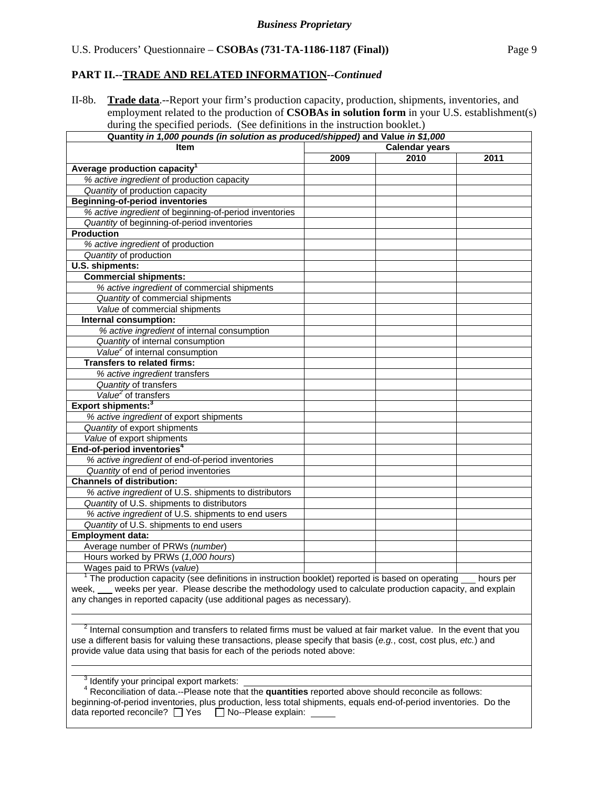II-8b. **Trade data**.--Report your firm's production capacity, production, shipments, inventories, and employment related to the production of **CSOBAs in solution form** in your U.S. establishment(s) during the specified periods. (See definitions in the instruction booklet.)

| Quantity in 1,000 pounds (in solution as produced/shipped) and Value in \$1,000                                                                                                               |                       |      |      |  |  |
|-----------------------------------------------------------------------------------------------------------------------------------------------------------------------------------------------|-----------------------|------|------|--|--|
| <b>Item</b>                                                                                                                                                                                   | <b>Calendar years</b> |      |      |  |  |
|                                                                                                                                                                                               | 2009                  | 2010 | 2011 |  |  |
| Average production capacity <sup>1</sup>                                                                                                                                                      |                       |      |      |  |  |
| % active ingredient of production capacity                                                                                                                                                    |                       |      |      |  |  |
| Quantity of production capacity                                                                                                                                                               |                       |      |      |  |  |
| <b>Beginning-of-period inventories</b>                                                                                                                                                        |                       |      |      |  |  |
| % active ingredient of beginning-of-period inventories                                                                                                                                        |                       |      |      |  |  |
| Quantity of beginning-of-period inventories                                                                                                                                                   |                       |      |      |  |  |
| <b>Production</b>                                                                                                                                                                             |                       |      |      |  |  |
| % active ingredient of production                                                                                                                                                             |                       |      |      |  |  |
| Quantity of production                                                                                                                                                                        |                       |      |      |  |  |
| U.S. shipments:                                                                                                                                                                               |                       |      |      |  |  |
| <b>Commercial shipments:</b>                                                                                                                                                                  |                       |      |      |  |  |
| % active ingredient of commercial shipments                                                                                                                                                   |                       |      |      |  |  |
| Quantity of commercial shipments                                                                                                                                                              |                       |      |      |  |  |
| Value of commercial shipments                                                                                                                                                                 |                       |      |      |  |  |
| Internal consumption:                                                                                                                                                                         |                       |      |      |  |  |
| % active ingredient of internal consumption                                                                                                                                                   |                       |      |      |  |  |
| Quantity of internal consumption                                                                                                                                                              |                       |      |      |  |  |
| Value <sup>2</sup> of internal consumption                                                                                                                                                    |                       |      |      |  |  |
| <b>Transfers to related firms:</b>                                                                                                                                                            |                       |      |      |  |  |
| % active ingredient transfers                                                                                                                                                                 |                       |      |      |  |  |
| Quantity of transfers                                                                                                                                                                         |                       |      |      |  |  |
| Value <sup>2</sup> of transfers                                                                                                                                                               |                       |      |      |  |  |
| Export shipments: <sup>3</sup>                                                                                                                                                                |                       |      |      |  |  |
| % active ingredient of export shipments                                                                                                                                                       |                       |      |      |  |  |
| Quantity of export shipments                                                                                                                                                                  |                       |      |      |  |  |
| Value of export shipments                                                                                                                                                                     |                       |      |      |  |  |
| End-of-period inventories <sup>4</sup>                                                                                                                                                        |                       |      |      |  |  |
| % active ingredient of end-of-period inventories                                                                                                                                              |                       |      |      |  |  |
| Quantity of end of period inventories                                                                                                                                                         |                       |      |      |  |  |
| <b>Channels of distribution:</b>                                                                                                                                                              |                       |      |      |  |  |
| % active ingredient of U.S. shipments to distributors                                                                                                                                         |                       |      |      |  |  |
| Quantity of U.S. shipments to distributors                                                                                                                                                    |                       |      |      |  |  |
|                                                                                                                                                                                               |                       |      |      |  |  |
| % active ingredient of U.S. shipments to end users<br>Quantity of U.S. shipments to end users                                                                                                 |                       |      |      |  |  |
|                                                                                                                                                                                               |                       |      |      |  |  |
| <b>Employment data:</b>                                                                                                                                                                       |                       |      |      |  |  |
| Average number of PRWs (number)                                                                                                                                                               |                       |      |      |  |  |
| Hours worked by PRWs (1,000 hours)                                                                                                                                                            |                       |      |      |  |  |
| Wages paid to PRWs (value)                                                                                                                                                                    |                       |      |      |  |  |
| $1$ The production capacity (see definitions in instruction booklet) reported is based on operating $\_\_$ hours per                                                                          |                       |      |      |  |  |
| week, ___ weeks per year. Please describe the methodology used to calculate production capacity, and explain                                                                                  |                       |      |      |  |  |
| any changes in reported capacity (use additional pages as necessary).                                                                                                                         |                       |      |      |  |  |
|                                                                                                                                                                                               |                       |      |      |  |  |
| $2$ Internal consumption and transfers to related firms must be valued at fair market value. In the event that you                                                                            |                       |      |      |  |  |
|                                                                                                                                                                                               |                       |      |      |  |  |
| use a different basis for valuing these transactions, please specify that basis (e.g., cost, cost plus, etc.) and<br>provide value data using that basis for each of the periods noted above: |                       |      |      |  |  |
|                                                                                                                                                                                               |                       |      |      |  |  |
|                                                                                                                                                                                               |                       |      |      |  |  |
| <sup>3</sup> Identify your principal export markets:                                                                                                                                          |                       |      |      |  |  |
| $4$ Reconciliation of data.--Please note that the quantities reported above should reconcile as follows:                                                                                      |                       |      |      |  |  |
| beginning-of-period inventories, plus production, less total shipments, equals end-of-period inventories. Do the                                                                              |                       |      |      |  |  |
| data reported reconcile? $\Box$ Yes<br>No--Please explain:                                                                                                                                    |                       |      |      |  |  |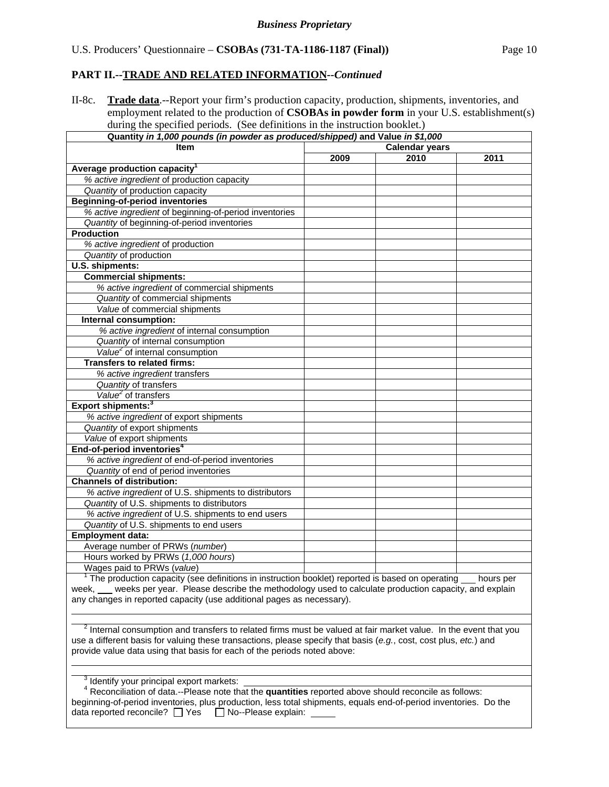II-8c. **Trade data**.--Report your firm's production capacity, production, shipments, inventories, and employment related to the production of **CSOBAs in powder form** in your U.S. establishment(s) during the specified periods. (See definitions in the instruction booklet.)

| Quantity in 1,000 pounds (in powder as produced/shipped) and Value in \$1,000                                                                                                                 |                       |      |      |  |  |
|-----------------------------------------------------------------------------------------------------------------------------------------------------------------------------------------------|-----------------------|------|------|--|--|
| Item                                                                                                                                                                                          | <b>Calendar years</b> |      |      |  |  |
|                                                                                                                                                                                               | 2009                  | 2010 | 2011 |  |  |
| Average production capacity <sup>1</sup>                                                                                                                                                      |                       |      |      |  |  |
| % active ingredient of production capacity                                                                                                                                                    |                       |      |      |  |  |
| Quantity of production capacity                                                                                                                                                               |                       |      |      |  |  |
| <b>Beginning-of-period inventories</b>                                                                                                                                                        |                       |      |      |  |  |
| % active ingredient of beginning-of-period inventories                                                                                                                                        |                       |      |      |  |  |
| Quantity of beginning-of-period inventories                                                                                                                                                   |                       |      |      |  |  |
| <b>Production</b>                                                                                                                                                                             |                       |      |      |  |  |
| % active ingredient of production                                                                                                                                                             |                       |      |      |  |  |
| Quantity of production                                                                                                                                                                        |                       |      |      |  |  |
| U.S. shipments:                                                                                                                                                                               |                       |      |      |  |  |
| <b>Commercial shipments:</b>                                                                                                                                                                  |                       |      |      |  |  |
| % active ingredient of commercial shipments                                                                                                                                                   |                       |      |      |  |  |
| Quantity of commercial shipments                                                                                                                                                              |                       |      |      |  |  |
| Value of commercial shipments                                                                                                                                                                 |                       |      |      |  |  |
| Internal consumption:                                                                                                                                                                         |                       |      |      |  |  |
| % active ingredient of internal consumption                                                                                                                                                   |                       |      |      |  |  |
| Quantity of internal consumption                                                                                                                                                              |                       |      |      |  |  |
| Value <sup>2</sup> of internal consumption                                                                                                                                                    |                       |      |      |  |  |
| <b>Transfers to related firms:</b>                                                                                                                                                            |                       |      |      |  |  |
| % active ingredient transfers                                                                                                                                                                 |                       |      |      |  |  |
| Quantity of transfers                                                                                                                                                                         |                       |      |      |  |  |
| Value <sup>2</sup> of transfers                                                                                                                                                               |                       |      |      |  |  |
| Export shipments: <sup>3</sup>                                                                                                                                                                |                       |      |      |  |  |
| % active ingredient of export shipments                                                                                                                                                       |                       |      |      |  |  |
| Quantity of export shipments                                                                                                                                                                  |                       |      |      |  |  |
| Value of export shipments                                                                                                                                                                     |                       |      |      |  |  |
| End-of-period inventories <sup>4</sup>                                                                                                                                                        |                       |      |      |  |  |
| % active ingredient of end-of-period inventories                                                                                                                                              |                       |      |      |  |  |
| Quantity of end of period inventories                                                                                                                                                         |                       |      |      |  |  |
| <b>Channels of distribution:</b>                                                                                                                                                              |                       |      |      |  |  |
| % active ingredient of U.S. shipments to distributors                                                                                                                                         |                       |      |      |  |  |
| Quantity of U.S. shipments to distributors                                                                                                                                                    |                       |      |      |  |  |
|                                                                                                                                                                                               |                       |      |      |  |  |
| % active ingredient of U.S. shipments to end users<br>Quantity of U.S. shipments to end users                                                                                                 |                       |      |      |  |  |
| <b>Employment data:</b>                                                                                                                                                                       |                       |      |      |  |  |
| Average number of PRWs (number)                                                                                                                                                               |                       |      |      |  |  |
|                                                                                                                                                                                               |                       |      |      |  |  |
| Hours worked by PRWs (1,000 hours)                                                                                                                                                            |                       |      |      |  |  |
| Wages paid to PRWs (value)                                                                                                                                                                    |                       |      |      |  |  |
| $1$ The production capacity (see definitions in instruction booklet) reported is based on operating $\_\_$ hours per                                                                          |                       |      |      |  |  |
| week, ___ weeks per year. Please describe the methodology used to calculate production capacity, and explain<br>any changes in reported capacity (use additional pages as necessary).         |                       |      |      |  |  |
|                                                                                                                                                                                               |                       |      |      |  |  |
|                                                                                                                                                                                               |                       |      |      |  |  |
| $2$ Internal consumption and transfers to related firms must be valued at fair market value. In the event that you                                                                            |                       |      |      |  |  |
|                                                                                                                                                                                               |                       |      |      |  |  |
| use a different basis for valuing these transactions, please specify that basis (e.g., cost, cost plus, etc.) and<br>provide value data using that basis for each of the periods noted above: |                       |      |      |  |  |
|                                                                                                                                                                                               |                       |      |      |  |  |
|                                                                                                                                                                                               |                       |      |      |  |  |
| <sup>3</sup> Identify your principal export markets:                                                                                                                                          |                       |      |      |  |  |
| <sup>4</sup> Reconciliation of data.--Please note that the quantities reported above should reconcile as follows:                                                                             |                       |      |      |  |  |
| beginning-of-period inventories, plus production, less total shipments, equals end-of-period inventories. Do the                                                                              |                       |      |      |  |  |
| data reported reconcile? □ Yes □ No--Please explain:                                                                                                                                          |                       |      |      |  |  |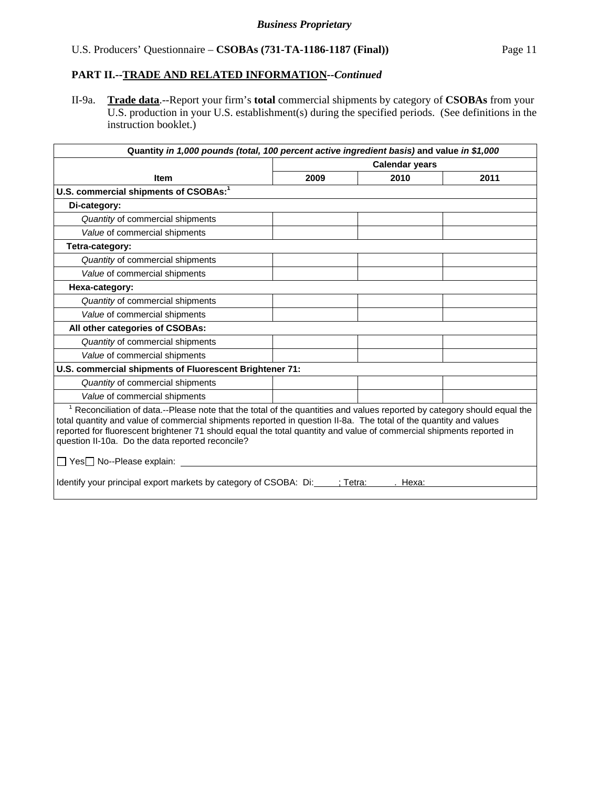II-9a. **Trade data**.--Report your firm's **total** commercial shipments by category of **CSOBAs** from your U.S. production in your U.S. establishment(s) during the specified periods. (See definitions in the instruction booklet.)

| Quantity in 1,000 pounds (total, 100 percent active ingredient basis) and value in \$1,000                                                                                                                                                                                                                                                                                                                                                                         |                       |      |      |  |  |
|--------------------------------------------------------------------------------------------------------------------------------------------------------------------------------------------------------------------------------------------------------------------------------------------------------------------------------------------------------------------------------------------------------------------------------------------------------------------|-----------------------|------|------|--|--|
|                                                                                                                                                                                                                                                                                                                                                                                                                                                                    | <b>Calendar years</b> |      |      |  |  |
| <b>Item</b>                                                                                                                                                                                                                                                                                                                                                                                                                                                        | 2009                  | 2010 | 2011 |  |  |
| U.S. commercial shipments of CSOBAs: <sup>1</sup>                                                                                                                                                                                                                                                                                                                                                                                                                  |                       |      |      |  |  |
| Di-category:                                                                                                                                                                                                                                                                                                                                                                                                                                                       |                       |      |      |  |  |
| Quantity of commercial shipments                                                                                                                                                                                                                                                                                                                                                                                                                                   |                       |      |      |  |  |
| Value of commercial shipments                                                                                                                                                                                                                                                                                                                                                                                                                                      |                       |      |      |  |  |
| Tetra-category:                                                                                                                                                                                                                                                                                                                                                                                                                                                    |                       |      |      |  |  |
| Quantity of commercial shipments                                                                                                                                                                                                                                                                                                                                                                                                                                   |                       |      |      |  |  |
| Value of commercial shipments                                                                                                                                                                                                                                                                                                                                                                                                                                      |                       |      |      |  |  |
| Hexa-category:                                                                                                                                                                                                                                                                                                                                                                                                                                                     |                       |      |      |  |  |
| Quantity of commercial shipments                                                                                                                                                                                                                                                                                                                                                                                                                                   |                       |      |      |  |  |
| Value of commercial shipments                                                                                                                                                                                                                                                                                                                                                                                                                                      |                       |      |      |  |  |
| All other categories of CSOBAs:                                                                                                                                                                                                                                                                                                                                                                                                                                    |                       |      |      |  |  |
| Quantity of commercial shipments                                                                                                                                                                                                                                                                                                                                                                                                                                   |                       |      |      |  |  |
| Value of commercial shipments                                                                                                                                                                                                                                                                                                                                                                                                                                      |                       |      |      |  |  |
| U.S. commercial shipments of Fluorescent Brightener 71:                                                                                                                                                                                                                                                                                                                                                                                                            |                       |      |      |  |  |
| Quantity of commercial shipments                                                                                                                                                                                                                                                                                                                                                                                                                                   |                       |      |      |  |  |
| Value of commercial shipments                                                                                                                                                                                                                                                                                                                                                                                                                                      |                       |      |      |  |  |
| <sup>1</sup> Reconciliation of data.--Please note that the total of the quantities and values reported by category should equal the<br>total quantity and value of commercial shipments reported in question II-8a. The total of the quantity and values<br>reported for fluorescent brightener 71 should equal the total quantity and value of commercial shipments reported in<br>question II-10a. Do the data reported reconcile?<br>□ Yes□ No--Please explain: |                       |      |      |  |  |
| Identify your principal export markets by category of CSOBA: Di:<br>:Tetra:<br>Hexa:                                                                                                                                                                                                                                                                                                                                                                               |                       |      |      |  |  |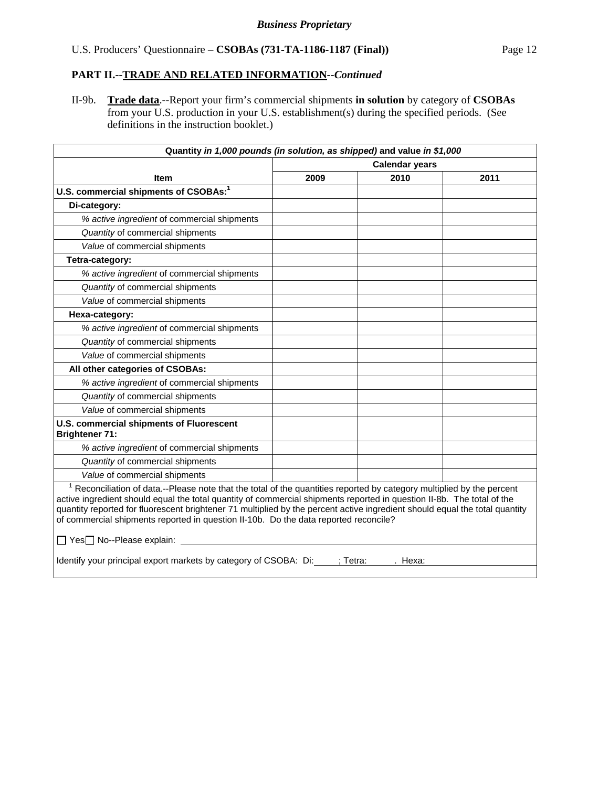II-9b. **Trade data**.--Report your firm's commercial shipments **in solution** by category of **CSOBAs** from your U.S. production in your U.S. establishment(s) during the specified periods. (See definitions in the instruction booklet.)

| Quantity in 1,000 pounds (in solution, as shipped) and value in \$1,000                                                                                                                                                                                                                                                                                                                                                                                                                                          |                       |                   |      |
|------------------------------------------------------------------------------------------------------------------------------------------------------------------------------------------------------------------------------------------------------------------------------------------------------------------------------------------------------------------------------------------------------------------------------------------------------------------------------------------------------------------|-----------------------|-------------------|------|
|                                                                                                                                                                                                                                                                                                                                                                                                                                                                                                                  | <b>Calendar years</b> |                   |      |
| <b>Item</b>                                                                                                                                                                                                                                                                                                                                                                                                                                                                                                      | 2009                  | 2010              | 2011 |
| U.S. commercial shipments of CSOBAs: <sup>1</sup>                                                                                                                                                                                                                                                                                                                                                                                                                                                                |                       |                   |      |
| Di-category:                                                                                                                                                                                                                                                                                                                                                                                                                                                                                                     |                       |                   |      |
| % active ingredient of commercial shipments                                                                                                                                                                                                                                                                                                                                                                                                                                                                      |                       |                   |      |
| Quantity of commercial shipments                                                                                                                                                                                                                                                                                                                                                                                                                                                                                 |                       |                   |      |
| Value of commercial shipments                                                                                                                                                                                                                                                                                                                                                                                                                                                                                    |                       |                   |      |
| Tetra-category:                                                                                                                                                                                                                                                                                                                                                                                                                                                                                                  |                       |                   |      |
| % active ingredient of commercial shipments                                                                                                                                                                                                                                                                                                                                                                                                                                                                      |                       |                   |      |
| Quantity of commercial shipments                                                                                                                                                                                                                                                                                                                                                                                                                                                                                 |                       |                   |      |
| Value of commercial shipments                                                                                                                                                                                                                                                                                                                                                                                                                                                                                    |                       |                   |      |
| Hexa-category:                                                                                                                                                                                                                                                                                                                                                                                                                                                                                                   |                       |                   |      |
| % active ingredient of commercial shipments                                                                                                                                                                                                                                                                                                                                                                                                                                                                      |                       |                   |      |
| Quantity of commercial shipments                                                                                                                                                                                                                                                                                                                                                                                                                                                                                 |                       |                   |      |
| Value of commercial shipments                                                                                                                                                                                                                                                                                                                                                                                                                                                                                    |                       |                   |      |
| All other categories of CSOBAs:                                                                                                                                                                                                                                                                                                                                                                                                                                                                                  |                       |                   |      |
| % active ingredient of commercial shipments                                                                                                                                                                                                                                                                                                                                                                                                                                                                      |                       |                   |      |
| Quantity of commercial shipments                                                                                                                                                                                                                                                                                                                                                                                                                                                                                 |                       |                   |      |
| Value of commercial shipments                                                                                                                                                                                                                                                                                                                                                                                                                                                                                    |                       |                   |      |
| U.S. commercial shipments of Fluorescent<br><b>Brightener 71:</b>                                                                                                                                                                                                                                                                                                                                                                                                                                                |                       |                   |      |
| % active ingredient of commercial shipments                                                                                                                                                                                                                                                                                                                                                                                                                                                                      |                       |                   |      |
| Quantity of commercial shipments                                                                                                                                                                                                                                                                                                                                                                                                                                                                                 |                       |                   |      |
| Value of commercial shipments                                                                                                                                                                                                                                                                                                                                                                                                                                                                                    |                       |                   |      |
| <sup>1</sup> Reconciliation of data.--Please note that the total of the quantities reported by category multiplied by the percent<br>active ingredient should equal the total quantity of commercial shipments reported in question II-8b. The total of the<br>quantity reported for fluorescent brightener 71 multiplied by the percent active ingredient should equal the total quantity<br>of commercial shipments reported in question II-10b. Do the data reported reconcile?<br>□ Yes□ No--Please explain: |                       |                   |      |
|                                                                                                                                                                                                                                                                                                                                                                                                                                                                                                                  |                       |                   |      |
| Identify your principal export markets by category of CSOBA: Di:                                                                                                                                                                                                                                                                                                                                                                                                                                                 |                       | : Tetra:<br>Hexa: |      |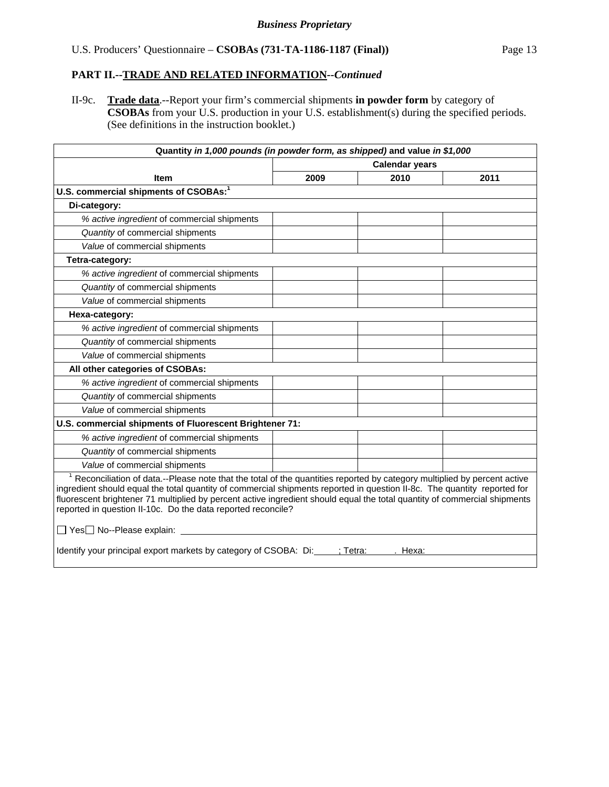II-9c. **Trade data**.--Report your firm's commercial shipments **in powder form** by category of **CSOBAs** from your U.S. production in your U.S. establishment(s) during the specified periods. (See definitions in the instruction booklet.)

| Quantity in 1,000 pounds (in powder form, as shipped) and value in \$1,000                                                                                                                                                                                                                                                                                                                                                                                                                    |                       |      |      |  |  |
|-----------------------------------------------------------------------------------------------------------------------------------------------------------------------------------------------------------------------------------------------------------------------------------------------------------------------------------------------------------------------------------------------------------------------------------------------------------------------------------------------|-----------------------|------|------|--|--|
|                                                                                                                                                                                                                                                                                                                                                                                                                                                                                               | <b>Calendar years</b> |      |      |  |  |
| Item                                                                                                                                                                                                                                                                                                                                                                                                                                                                                          | 2009                  | 2010 | 2011 |  |  |
| U.S. commercial shipments of CSOBAs: <sup>1</sup>                                                                                                                                                                                                                                                                                                                                                                                                                                             |                       |      |      |  |  |
| Di-category:                                                                                                                                                                                                                                                                                                                                                                                                                                                                                  |                       |      |      |  |  |
| % active ingredient of commercial shipments                                                                                                                                                                                                                                                                                                                                                                                                                                                   |                       |      |      |  |  |
| Quantity of commercial shipments                                                                                                                                                                                                                                                                                                                                                                                                                                                              |                       |      |      |  |  |
| Value of commercial shipments                                                                                                                                                                                                                                                                                                                                                                                                                                                                 |                       |      |      |  |  |
| Tetra-category:                                                                                                                                                                                                                                                                                                                                                                                                                                                                               |                       |      |      |  |  |
| % active ingredient of commercial shipments                                                                                                                                                                                                                                                                                                                                                                                                                                                   |                       |      |      |  |  |
| Quantity of commercial shipments                                                                                                                                                                                                                                                                                                                                                                                                                                                              |                       |      |      |  |  |
| Value of commercial shipments                                                                                                                                                                                                                                                                                                                                                                                                                                                                 |                       |      |      |  |  |
| Hexa-category:                                                                                                                                                                                                                                                                                                                                                                                                                                                                                |                       |      |      |  |  |
| % active ingredient of commercial shipments                                                                                                                                                                                                                                                                                                                                                                                                                                                   |                       |      |      |  |  |
| Quantity of commercial shipments                                                                                                                                                                                                                                                                                                                                                                                                                                                              |                       |      |      |  |  |
| Value of commercial shipments                                                                                                                                                                                                                                                                                                                                                                                                                                                                 |                       |      |      |  |  |
| All other categories of CSOBAs:                                                                                                                                                                                                                                                                                                                                                                                                                                                               |                       |      |      |  |  |
| % active ingredient of commercial shipments                                                                                                                                                                                                                                                                                                                                                                                                                                                   |                       |      |      |  |  |
| Quantity of commercial shipments                                                                                                                                                                                                                                                                                                                                                                                                                                                              |                       |      |      |  |  |
| Value of commercial shipments                                                                                                                                                                                                                                                                                                                                                                                                                                                                 |                       |      |      |  |  |
| U.S. commercial shipments of Fluorescent Brightener 71:                                                                                                                                                                                                                                                                                                                                                                                                                                       |                       |      |      |  |  |
| % active ingredient of commercial shipments                                                                                                                                                                                                                                                                                                                                                                                                                                                   |                       |      |      |  |  |
| Quantity of commercial shipments                                                                                                                                                                                                                                                                                                                                                                                                                                                              |                       |      |      |  |  |
| Value of commercial shipments                                                                                                                                                                                                                                                                                                                                                                                                                                                                 |                       |      |      |  |  |
| <sup>1</sup> Reconciliation of data.--Please note that the total of the quantities reported by category multiplied by percent active<br>ingredient should equal the total quantity of commercial shipments reported in question II-8c. The quantity reported for<br>fluorescent brightener 71 multiplied by percent active ingredient should equal the total quantity of commercial shipments<br>reported in question II-10c. Do the data reported reconcile?<br>□ Yes□ No--Please explain: _ |                       |      |      |  |  |
|                                                                                                                                                                                                                                                                                                                                                                                                                                                                                               |                       |      |      |  |  |
| Identify your principal export markets by category of CSOBA: Di: : : : : : : Tetra:<br>Hexa:                                                                                                                                                                                                                                                                                                                                                                                                  |                       |      |      |  |  |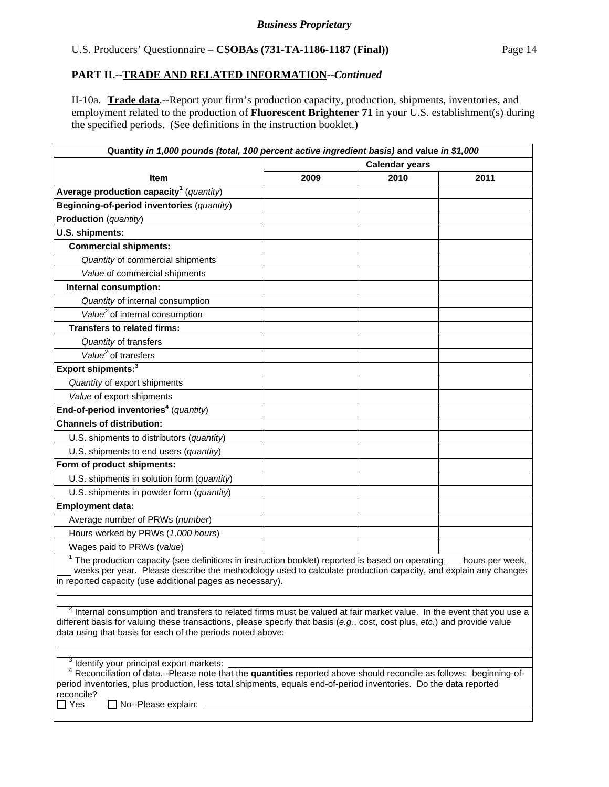II-10a. **Trade data**.--Report your firm's production capacity, production, shipments, inventories, and employment related to the production of **Fluorescent Brightener 71** in your U.S. establishment(s) during the specified periods. (See definitions in the instruction booklet.)

| Quantity in 1,000 pounds (total, 100 percent active ingredient basis) and value in \$1,000                                                                                                                                                                                                                                   |                       |      |                 |
|------------------------------------------------------------------------------------------------------------------------------------------------------------------------------------------------------------------------------------------------------------------------------------------------------------------------------|-----------------------|------|-----------------|
|                                                                                                                                                                                                                                                                                                                              | <b>Calendar years</b> |      |                 |
| <b>Item</b>                                                                                                                                                                                                                                                                                                                  | 2009                  | 2010 | 2011            |
| Average production capacity <sup>1</sup> (quantity)                                                                                                                                                                                                                                                                          |                       |      |                 |
| Beginning-of-period inventories (quantity)                                                                                                                                                                                                                                                                                   |                       |      |                 |
| Production (quantity)                                                                                                                                                                                                                                                                                                        |                       |      |                 |
| U.S. shipments:                                                                                                                                                                                                                                                                                                              |                       |      |                 |
| <b>Commercial shipments:</b>                                                                                                                                                                                                                                                                                                 |                       |      |                 |
| Quantity of commercial shipments                                                                                                                                                                                                                                                                                             |                       |      |                 |
| Value of commercial shipments                                                                                                                                                                                                                                                                                                |                       |      |                 |
| Internal consumption:                                                                                                                                                                                                                                                                                                        |                       |      |                 |
| Quantity of internal consumption                                                                                                                                                                                                                                                                                             |                       |      |                 |
| Value <sup>2</sup> of internal consumption                                                                                                                                                                                                                                                                                   |                       |      |                 |
| <b>Transfers to related firms:</b>                                                                                                                                                                                                                                                                                           |                       |      |                 |
| Quantity of transfers                                                                                                                                                                                                                                                                                                        |                       |      |                 |
| Value <sup>2</sup> of transfers                                                                                                                                                                                                                                                                                              |                       |      |                 |
| Export shipments: <sup>3</sup>                                                                                                                                                                                                                                                                                               |                       |      |                 |
| Quantity of export shipments                                                                                                                                                                                                                                                                                                 |                       |      |                 |
| Value of export shipments                                                                                                                                                                                                                                                                                                    |                       |      |                 |
| End-of-period inventories <sup>4</sup> (quantity)                                                                                                                                                                                                                                                                            |                       |      |                 |
| <b>Channels of distribution:</b>                                                                                                                                                                                                                                                                                             |                       |      |                 |
| U.S. shipments to distributors (quantity)                                                                                                                                                                                                                                                                                    |                       |      |                 |
| U.S. shipments to end users (quantity)                                                                                                                                                                                                                                                                                       |                       |      |                 |
| Form of product shipments:                                                                                                                                                                                                                                                                                                   |                       |      |                 |
| U.S. shipments in solution form (quantity)                                                                                                                                                                                                                                                                                   |                       |      |                 |
| U.S. shipments in powder form (quantity)                                                                                                                                                                                                                                                                                     |                       |      |                 |
| <b>Employment data:</b>                                                                                                                                                                                                                                                                                                      |                       |      |                 |
| Average number of PRWs (number)                                                                                                                                                                                                                                                                                              |                       |      |                 |
| Hours worked by PRWs (1,000 hours)                                                                                                                                                                                                                                                                                           |                       |      |                 |
| Wages paid to PRWs (value)                                                                                                                                                                                                                                                                                                   |                       |      |                 |
| $1$ The production capacity (see definitions in instruction booklet) reported is based on operating $\_\_$<br>weeks per year. Please describe the methodology used to calculate production capacity, and explain any changes<br>in reported capacity (use additional pages as necessary).                                    |                       |      | hours per week, |
|                                                                                                                                                                                                                                                                                                                              |                       |      |                 |
| <sup>2</sup> Internal consumption and transfers to related firms must be valued at fair market value. In the event that you use a<br>different basis for valuing these transactions, please specify that basis (e.g., cost, cost plus, etc.) and provide value<br>data using that basis for each of the periods noted above: |                       |      |                 |
|                                                                                                                                                                                                                                                                                                                              |                       |      |                 |
| $3$ Identify your principal export markets:<br>$4$ Reconciliation of data.--Please note that the <b>quantities</b> reported above should reconcile as follows: beginning-of-                                                                                                                                                 |                       |      |                 |
| period inventories, plus production, less total shipments, equals end-of-period inventories. Do the data reported<br>reconcile?<br>∃ Yes<br>No--Please explain:                                                                                                                                                              |                       |      |                 |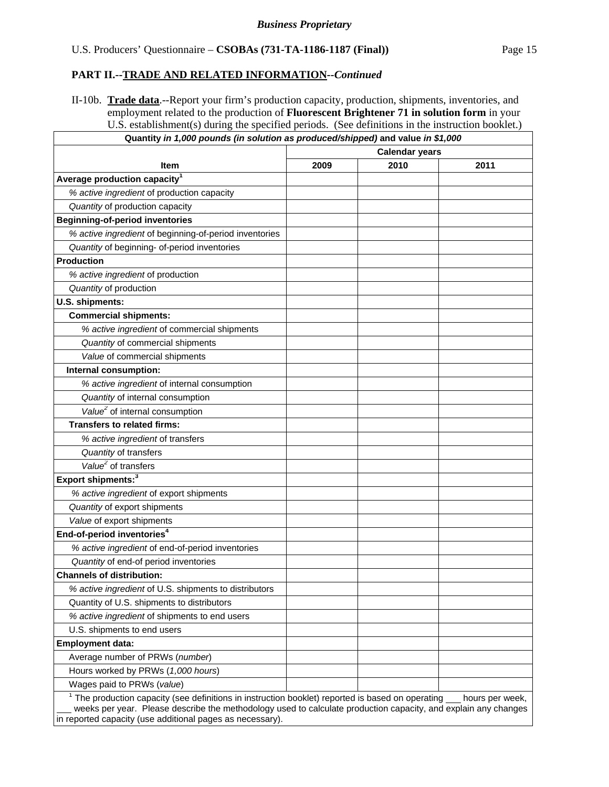$\overline{\phantom{a}}$ 

II-10b. **Trade data**.--Report your firm's production capacity, production, shipments, inventories, and employment related to the production of **Fluorescent Brightener 71 in solution form** in your U.S. establishment(s) during the specified periods. (See definitions in the instruction booklet.) **Quantity** *in 1,000 pounds (in solution as produced/shipped)* **and value** *in \$1,000*

|                                                                                                                                                                                                                       |      | <b>Calendar years</b> |                 |
|-----------------------------------------------------------------------------------------------------------------------------------------------------------------------------------------------------------------------|------|-----------------------|-----------------|
| <b>Item</b>                                                                                                                                                                                                           | 2009 | 2010                  | 2011            |
| Average production capacity <sup>1</sup>                                                                                                                                                                              |      |                       |                 |
| % active ingredient of production capacity                                                                                                                                                                            |      |                       |                 |
| Quantity of production capacity                                                                                                                                                                                       |      |                       |                 |
| <b>Beginning-of-period inventories</b>                                                                                                                                                                                |      |                       |                 |
| % active ingredient of beginning-of-period inventories                                                                                                                                                                |      |                       |                 |
| Quantity of beginning- of-period inventories                                                                                                                                                                          |      |                       |                 |
| <b>Production</b>                                                                                                                                                                                                     |      |                       |                 |
| % active ingredient of production                                                                                                                                                                                     |      |                       |                 |
| Quantity of production                                                                                                                                                                                                |      |                       |                 |
| U.S. shipments:                                                                                                                                                                                                       |      |                       |                 |
| <b>Commercial shipments:</b>                                                                                                                                                                                          |      |                       |                 |
| % active ingredient of commercial shipments                                                                                                                                                                           |      |                       |                 |
| Quantity of commercial shipments                                                                                                                                                                                      |      |                       |                 |
| Value of commercial shipments                                                                                                                                                                                         |      |                       |                 |
| Internal consumption:                                                                                                                                                                                                 |      |                       |                 |
| % active ingredient of internal consumption                                                                                                                                                                           |      |                       |                 |
| Quantity of internal consumption                                                                                                                                                                                      |      |                       |                 |
| Value <sup>2</sup> of internal consumption                                                                                                                                                                            |      |                       |                 |
| <b>Transfers to related firms:</b>                                                                                                                                                                                    |      |                       |                 |
| % active ingredient of transfers                                                                                                                                                                                      |      |                       |                 |
| Quantity of transfers                                                                                                                                                                                                 |      |                       |                 |
| Value <sup>2</sup> of transfers                                                                                                                                                                                       |      |                       |                 |
| Export shipments: <sup>3</sup>                                                                                                                                                                                        |      |                       |                 |
| % active ingredient of export shipments                                                                                                                                                                               |      |                       |                 |
| Quantity of export shipments                                                                                                                                                                                          |      |                       |                 |
| Value of export shipments                                                                                                                                                                                             |      |                       |                 |
| End-of-period inventories <sup>4</sup>                                                                                                                                                                                |      |                       |                 |
| % active ingredient of end-of-period inventories                                                                                                                                                                      |      |                       |                 |
| Quantity of end-of period inventories                                                                                                                                                                                 |      |                       |                 |
| <b>Channels of distribution:</b>                                                                                                                                                                                      |      |                       |                 |
| % active ingredient of U.S. shipments to distributors                                                                                                                                                                 |      |                       |                 |
| Quantity of U.S. shipments to distributors                                                                                                                                                                            |      |                       |                 |
| % active ingredient of shipments to end users                                                                                                                                                                         |      |                       |                 |
| U.S. shipments to end users                                                                                                                                                                                           |      |                       |                 |
| <b>Employment data:</b>                                                                                                                                                                                               |      |                       |                 |
| Average number of PRWs (number)                                                                                                                                                                                       |      |                       |                 |
| Hours worked by PRWs (1,000 hours)                                                                                                                                                                                    |      |                       |                 |
| Wages paid to PRWs (value)                                                                                                                                                                                            |      |                       |                 |
| $1$ The production capacity (see definitions in instruction booklet) reported is based on operating<br>weeks per year. Please describe the methodology used to calculate production capacity, and explain any changes |      |                       | hours per week, |

in reported capacity (use additional pages as necessary).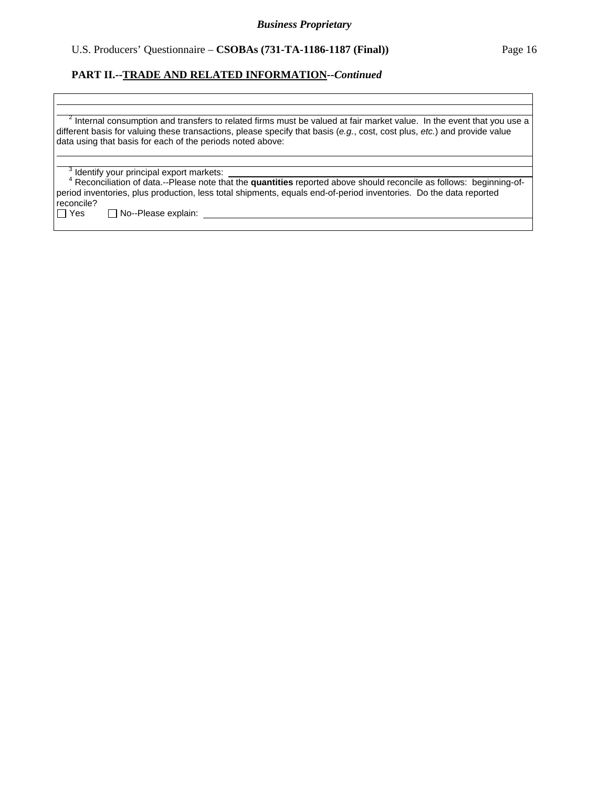## **PART II.--TRADE AND RELATED INFORMATION***--Continued*

 $\overline{a}$  $^{-2}$  Internal consumption and transfers to related firms must be valued at fair market value. In the event that you use a different basis for valuing these transactions, please specify that basis (*e.g.*, cost, cost plus, *etc.*) and provide value data using that basis for each of the periods noted above:

 $3$  Identify your principal export markets:

 $\overline{a}$ 

 $\overline{a}$  $\overline{a}$ 

 <sup>4</sup> Reconciliation of data.--Please note that the **quantities** reported above should reconcile as follows: beginning-ofperiod inventories, plus production, less total shipments, equals end-of-period inventories. Do the data reported reconcile?<br>□ Yes

 $\Box$  No--Please explain: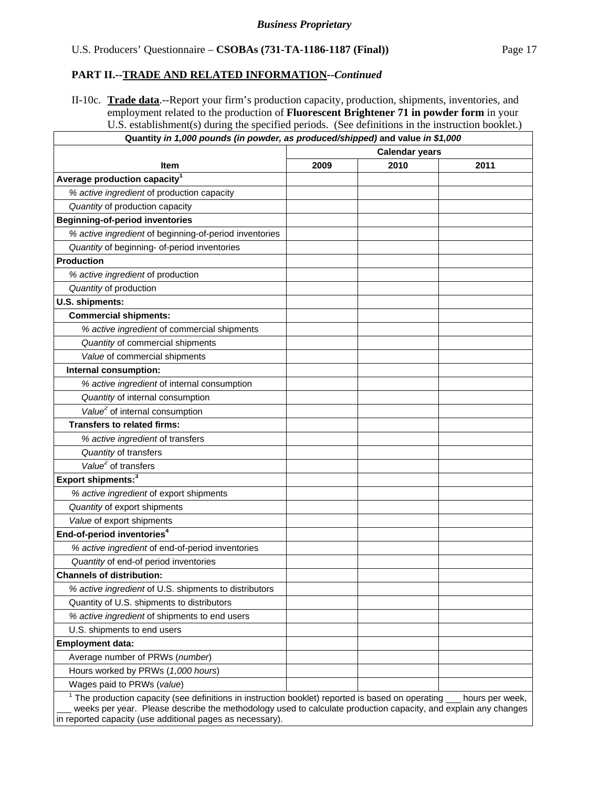Г

II-10c. **Trade data**.--Report your firm's production capacity, production, shipments, inventories, and employment related to the production of **Fluorescent Brightener 71 in powder form** in your U.S. establishment(s) during the specified periods. (See definitions in the instruction booklet.) **Quantity** *in 1,000 pounds (in powder, as produced/shipped)* **and value** *in \$1,000*

|                                                        |      | <b>Calendar years</b> |      |
|--------------------------------------------------------|------|-----------------------|------|
| <b>Item</b>                                            | 2009 | 2010                  | 2011 |
| Average production capacity <sup>1</sup>               |      |                       |      |
| % active ingredient of production capacity             |      |                       |      |
| Quantity of production capacity                        |      |                       |      |
| <b>Beginning-of-period inventories</b>                 |      |                       |      |
| % active ingredient of beginning-of-period inventories |      |                       |      |
| Quantity of beginning- of-period inventories           |      |                       |      |
| <b>Production</b>                                      |      |                       |      |
| % active ingredient of production                      |      |                       |      |
| Quantity of production                                 |      |                       |      |
| U.S. shipments:                                        |      |                       |      |
| <b>Commercial shipments:</b>                           |      |                       |      |
| % active ingredient of commercial shipments            |      |                       |      |
| Quantity of commercial shipments                       |      |                       |      |
| Value of commercial shipments                          |      |                       |      |
| Internal consumption:                                  |      |                       |      |
| % active ingredient of internal consumption            |      |                       |      |
| Quantity of internal consumption                       |      |                       |      |
| Value <sup>2</sup> of internal consumption             |      |                       |      |
| <b>Transfers to related firms:</b>                     |      |                       |      |
| % active ingredient of transfers                       |      |                       |      |
| Quantity of transfers                                  |      |                       |      |
| $\overline{Value}^2$ of transfers                      |      |                       |      |
| Export shipments: <sup>3</sup>                         |      |                       |      |
| % active ingredient of export shipments                |      |                       |      |
| Quantity of export shipments                           |      |                       |      |
| Value of export shipments                              |      |                       |      |
| End-of-period inventories <sup>4</sup>                 |      |                       |      |
| % active ingredient of end-of-period inventories       |      |                       |      |
| Quantity of end-of period inventories                  |      |                       |      |
| <b>Channels of distribution:</b>                       |      |                       |      |
| % active ingredient of U.S. shipments to distributors  |      |                       |      |
| Quantity of U.S. shipments to distributors             |      |                       |      |
| % active ingredient of shipments to end users          |      |                       |      |
| U.S. shipments to end users                            |      |                       |      |
| <b>Employment data:</b>                                |      |                       |      |
| Average number of PRWs (number)                        |      |                       |      |
| Hours worked by PRWs (1,000 hours)                     |      |                       |      |
| Wages paid to PRWs (value)                             |      |                       |      |

in reported capacity (use additional pages as necessary).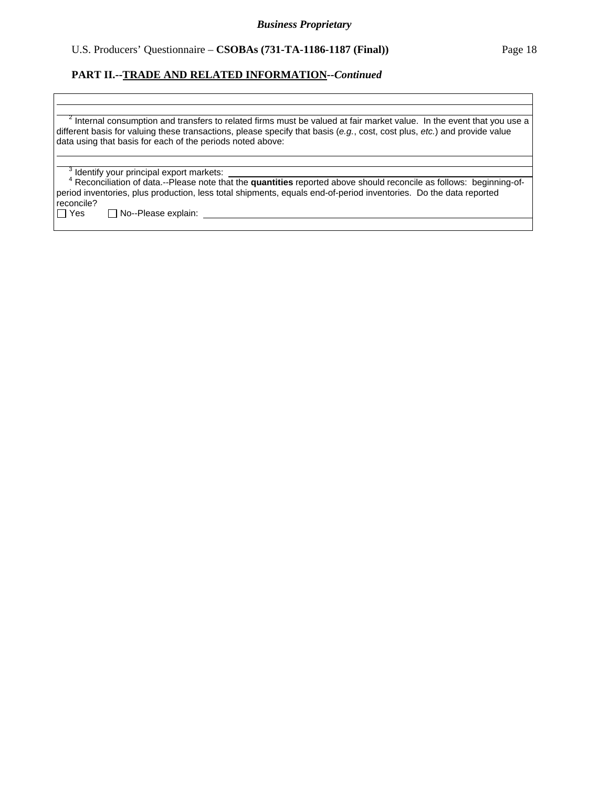## **PART II.--TRADE AND RELATED INFORMATION***--Continued*

 $\overline{a}$  $^{-2}$  Internal consumption and transfers to related firms must be valued at fair market value. In the event that you use a different basis for valuing these transactions, please specify that basis (*e.g.*, cost, cost plus, *etc.*) and provide value data using that basis for each of the periods noted above:

 $3$  Identify your principal export markets:

 $\overline{a}$ 

 $\overline{a}$  $\overline{a}$ 

 <sup>4</sup> Reconciliation of data.--Please note that the **quantities** reported above should reconcile as follows: beginning-ofperiod inventories, plus production, less total shipments, equals end-of-period inventories. Do the data reported reconcile?<br>□ Yes

 $\Box$  No--Please explain: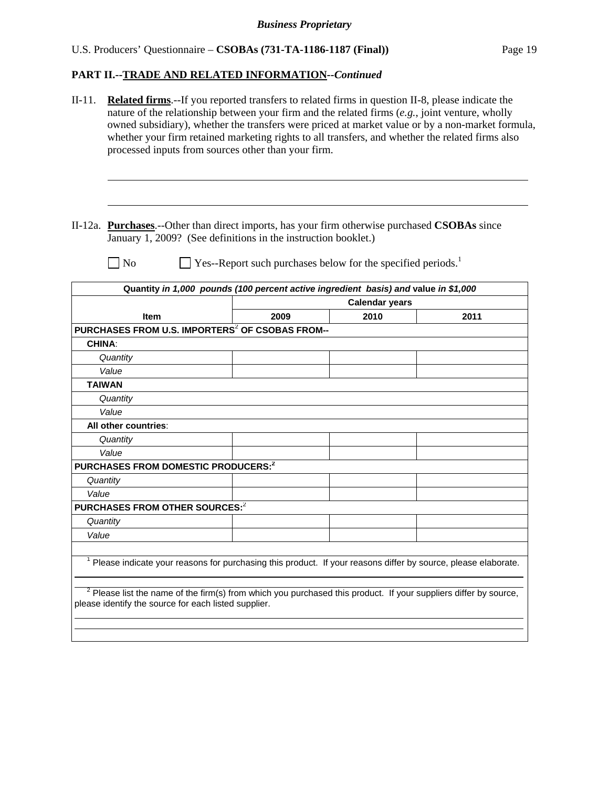# **PART II.--TRADE AND RELATED INFORMATION***--Continued*

| $II-11.$      | <b>Related firms.</b> --If you reported transfers to related firms in question II-8, please indicate the<br>nature of the relationship between your firm and the related firms $(e.g.,)$ joint venture, wholly<br>owned subsidiary), whether the transfers were priced at market value or by a non-market formula,<br>whether your firm retained marketing rights to all transfers, and whether the related firms also<br>processed inputs from sources other than your firm. |                                                             |                       |      |  |  |
|---------------|-------------------------------------------------------------------------------------------------------------------------------------------------------------------------------------------------------------------------------------------------------------------------------------------------------------------------------------------------------------------------------------------------------------------------------------------------------------------------------|-------------------------------------------------------------|-----------------------|------|--|--|
|               | II-12a. Purchases.--Other than direct imports, has your firm otherwise purchased CSOBAs since<br>January 1, 2009? (See definitions in the instruction booklet.)                                                                                                                                                                                                                                                                                                               |                                                             |                       |      |  |  |
|               | No                                                                                                                                                                                                                                                                                                                                                                                                                                                                            | Yes--Report such purchases below for the specified periods. |                       |      |  |  |
|               | Quantity in 1,000 pounds (100 percent active ingredient basis) and value in \$1,000                                                                                                                                                                                                                                                                                                                                                                                           |                                                             |                       |      |  |  |
|               |                                                                                                                                                                                                                                                                                                                                                                                                                                                                               |                                                             | <b>Calendar years</b> |      |  |  |
|               | <b>Item</b>                                                                                                                                                                                                                                                                                                                                                                                                                                                                   | 2009                                                        | 2010                  | 2011 |  |  |
|               | PURCHASES FROM U.S. IMPORTERS <sup>2</sup> OF CSOBAS FROM--                                                                                                                                                                                                                                                                                                                                                                                                                   |                                                             |                       |      |  |  |
| <b>CHINA:</b> |                                                                                                                                                                                                                                                                                                                                                                                                                                                                               |                                                             |                       |      |  |  |
|               | Quantity                                                                                                                                                                                                                                                                                                                                                                                                                                                                      |                                                             |                       |      |  |  |
|               | Value                                                                                                                                                                                                                                                                                                                                                                                                                                                                         |                                                             |                       |      |  |  |
| <b>TAIWAN</b> |                                                                                                                                                                                                                                                                                                                                                                                                                                                                               |                                                             |                       |      |  |  |
|               | Quantity                                                                                                                                                                                                                                                                                                                                                                                                                                                                      |                                                             |                       |      |  |  |
|               | Value                                                                                                                                                                                                                                                                                                                                                                                                                                                                         |                                                             |                       |      |  |  |
|               | All other countries:                                                                                                                                                                                                                                                                                                                                                                                                                                                          |                                                             |                       |      |  |  |
|               | Quantity                                                                                                                                                                                                                                                                                                                                                                                                                                                                      |                                                             |                       |      |  |  |
|               | Value<br>PURCHASES FROM DOMESTIC PRODUCERS: <sup>2</sup>                                                                                                                                                                                                                                                                                                                                                                                                                      |                                                             |                       |      |  |  |
|               |                                                                                                                                                                                                                                                                                                                                                                                                                                                                               |                                                             |                       |      |  |  |
| Quantity      |                                                                                                                                                                                                                                                                                                                                                                                                                                                                               |                                                             |                       |      |  |  |
| Value         |                                                                                                                                                                                                                                                                                                                                                                                                                                                                               |                                                             |                       |      |  |  |
|               | PURCHASES FROM OTHER SOURCES: <sup>2</sup>                                                                                                                                                                                                                                                                                                                                                                                                                                    |                                                             |                       |      |  |  |
| Quantity      |                                                                                                                                                                                                                                                                                                                                                                                                                                                                               |                                                             |                       |      |  |  |
| Value         |                                                                                                                                                                                                                                                                                                                                                                                                                                                                               |                                                             |                       |      |  |  |
|               | Please indicate your reasons for purchasing this product. If your reasons differ by source, please elaborate.<br>$2$ Please list the name of the firm(s) from which you purchased this product. If your suppliers differ by source,<br>please identify the source for each listed supplier.                                                                                                                                                                                   |                                                             |                       |      |  |  |
|               |                                                                                                                                                                                                                                                                                                                                                                                                                                                                               |                                                             |                       |      |  |  |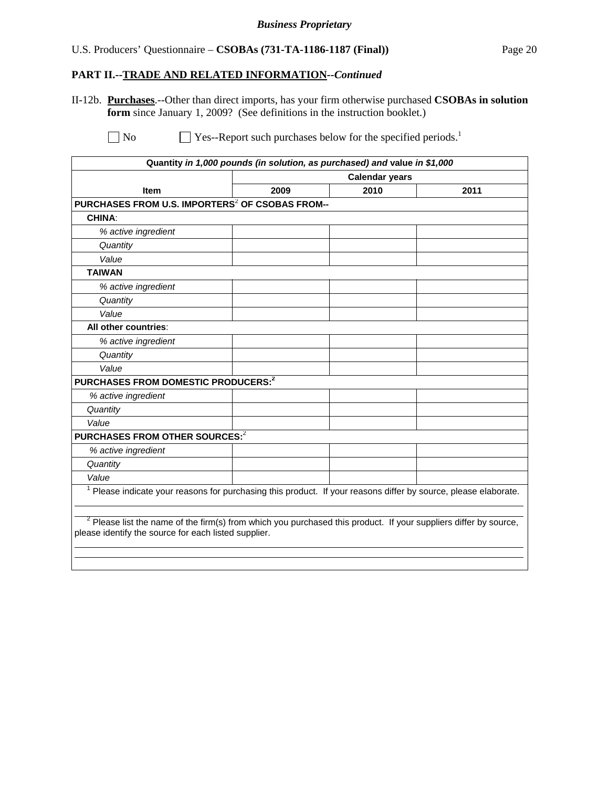### **PART II.--TRADE AND RELATED INFORMATION***--Continued*

II-12b. **Purchases**.--Other than direct imports, has your firm otherwise purchased **CSOBAs in solution form** since January 1, 2009? (See definitions in the instruction booklet.)

 $\Box$  No  $\Box$  Yes--Report such purchases below for the specified periods.<sup>1</sup>

|                                                                                                                                                                            |                       | Quantity in 1,000 pounds (in solution, as purchased) and value in \$1,000 |      |  |
|----------------------------------------------------------------------------------------------------------------------------------------------------------------------------|-----------------------|---------------------------------------------------------------------------|------|--|
|                                                                                                                                                                            | <b>Calendar years</b> |                                                                           |      |  |
| Item                                                                                                                                                                       | 2009                  | 2010                                                                      | 2011 |  |
| PURCHASES FROM U.S. IMPORTERS <sup>2</sup> OF CSOBAS FROM--                                                                                                                |                       |                                                                           |      |  |
| <b>CHINA:</b>                                                                                                                                                              |                       |                                                                           |      |  |
| % active ingredient                                                                                                                                                        |                       |                                                                           |      |  |
| Quantity                                                                                                                                                                   |                       |                                                                           |      |  |
| Value                                                                                                                                                                      |                       |                                                                           |      |  |
| <b>TAIWAN</b>                                                                                                                                                              |                       |                                                                           |      |  |
| % active ingredient                                                                                                                                                        |                       |                                                                           |      |  |
| Quantity                                                                                                                                                                   |                       |                                                                           |      |  |
| Value                                                                                                                                                                      |                       |                                                                           |      |  |
| All other countries:                                                                                                                                                       |                       |                                                                           |      |  |
| % active ingredient                                                                                                                                                        |                       |                                                                           |      |  |
| Quantity                                                                                                                                                                   |                       |                                                                           |      |  |
| Value                                                                                                                                                                      |                       |                                                                           |      |  |
| PURCHASES FROM DOMESTIC PRODUCERS: <sup>2</sup>                                                                                                                            |                       |                                                                           |      |  |
| % active ingredient                                                                                                                                                        |                       |                                                                           |      |  |
| Quantity                                                                                                                                                                   |                       |                                                                           |      |  |
| Value                                                                                                                                                                      |                       |                                                                           |      |  |
| PURCHASES FROM OTHER SOURCES: <sup>2</sup>                                                                                                                                 |                       |                                                                           |      |  |
| % active ingredient                                                                                                                                                        |                       |                                                                           |      |  |
| Quantity                                                                                                                                                                   |                       |                                                                           |      |  |
| Value                                                                                                                                                                      |                       |                                                                           |      |  |
| <sup>1</sup> Please indicate your reasons for purchasing this product. If your reasons differ by source, please elaborate.                                                 |                       |                                                                           |      |  |
| $2$ Please list the name of the firm(s) from which you purchased this product. If your suppliers differ by source,<br>please identify the source for each listed supplier. |                       |                                                                           |      |  |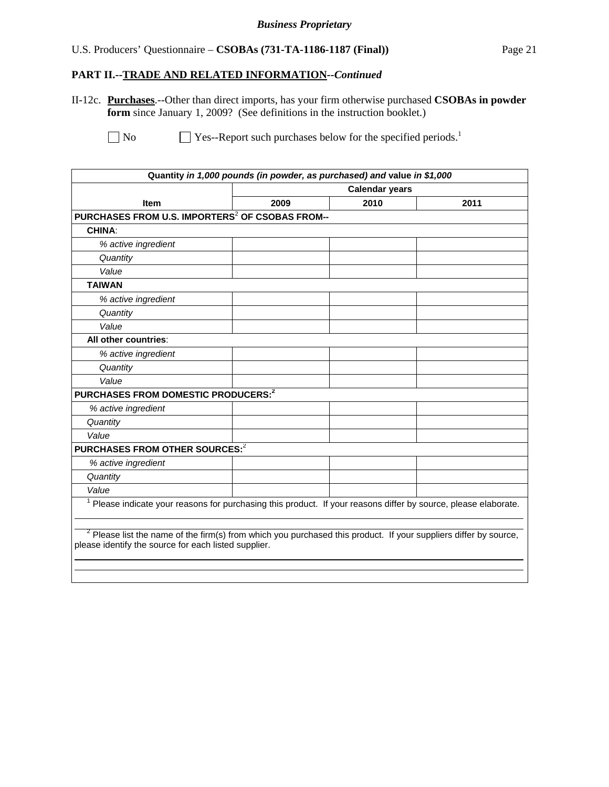#### **PART II.--TRADE AND RELATED INFORMATION***--Continued*

II-12c. **Purchases**.--Other than direct imports, has your firm otherwise purchased **CSOBAs in powder form** since January 1, 2009? (See definitions in the instruction booklet.)

| Quantity in 1,000 pounds (in powder, as purchased) and value in \$1,000                                                                                                    |      |                       |      |  |  |
|----------------------------------------------------------------------------------------------------------------------------------------------------------------------------|------|-----------------------|------|--|--|
|                                                                                                                                                                            |      | <b>Calendar years</b> |      |  |  |
| <b>Item</b>                                                                                                                                                                | 2009 | 2010                  | 2011 |  |  |
| PURCHASES FROM U.S. IMPORTERS <sup>2</sup> OF CSOBAS FROM--                                                                                                                |      |                       |      |  |  |
| <b>CHINA:</b>                                                                                                                                                              |      |                       |      |  |  |
| % active ingredient                                                                                                                                                        |      |                       |      |  |  |
| Quantity                                                                                                                                                                   |      |                       |      |  |  |
| Value                                                                                                                                                                      |      |                       |      |  |  |
| <b>TAIWAN</b>                                                                                                                                                              |      |                       |      |  |  |
| % active ingredient                                                                                                                                                        |      |                       |      |  |  |
| Quantity                                                                                                                                                                   |      |                       |      |  |  |
| Value                                                                                                                                                                      |      |                       |      |  |  |
| All other countries:                                                                                                                                                       |      |                       |      |  |  |
| % active ingredient                                                                                                                                                        |      |                       |      |  |  |
| Quantity                                                                                                                                                                   |      |                       |      |  |  |
| Value                                                                                                                                                                      |      |                       |      |  |  |
| PURCHASES FROM DOMESTIC PRODUCERS: <sup>2</sup>                                                                                                                            |      |                       |      |  |  |
| % active ingredient                                                                                                                                                        |      |                       |      |  |  |
| Quantity                                                                                                                                                                   |      |                       |      |  |  |
| Value                                                                                                                                                                      |      |                       |      |  |  |
| PURCHASES FROM OTHER SOURCES: <sup>2</sup>                                                                                                                                 |      |                       |      |  |  |
| % active ingredient                                                                                                                                                        |      |                       |      |  |  |
| Quantity                                                                                                                                                                   |      |                       |      |  |  |
| Value                                                                                                                                                                      |      |                       |      |  |  |
| <sup>1</sup> Please indicate your reasons for purchasing this product. If your reasons differ by source, please elaborate.                                                 |      |                       |      |  |  |
| $2$ Please list the name of the firm(s) from which you purchased this product. If your suppliers differ by source,<br>please identify the source for each listed supplier. |      |                       |      |  |  |

 $\Box$  No  $\Box$  Yes--Report such purchases below for the specified periods.<sup>1</sup>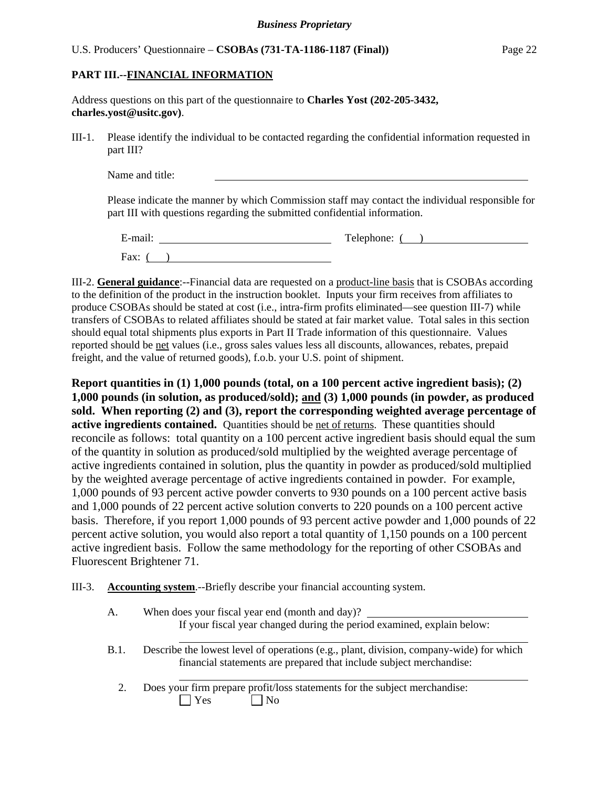### **PART III.--FINANCIAL INFORMATION**

| Address questions on this part of the questionnaire to <b>Charles Yost</b> (202-205-3432, |  |  |
|-------------------------------------------------------------------------------------------|--|--|
| charles.yost@ustc.gov.                                                                    |  |  |

III-1. Please identify the individual to be contacted regarding the confidential information requested in part III?

| Name and title: |  |  |
|-----------------|--|--|
|-----------------|--|--|

Please indicate the manner by which Commission staff may contact the individual responsible for part III with questions regarding the submitted confidential information.

| $\cdot$ $\cdot$<br>∃-mail. | Telephone: |
|----------------------------|------------|
| Fax:                       |            |

III-2. **General guidance**:--Financial data are requested on a product-line basis that is CSOBAs according to the definition of the product in the instruction booklet. Inputs your firm receives from affiliates to produce CSOBAs should be stated at cost (i.e., intra-firm profits eliminated—see question III-7) while transfers of CSOBAs to related affiliates should be stated at fair market value. Total sales in this section should equal total shipments plus exports in Part II Trade information of this questionnaire. Values reported should be net values (i.e., gross sales values less all discounts, allowances, rebates, prepaid freight, and the value of returned goods), f.o.b. your U.S. point of shipment.

**Report quantities in (1) 1,000 pounds (total, on a 100 percent active ingredient basis); (2) 1,000 pounds (in solution, as produced/sold); and (3) 1,000 pounds (in powder, as produced sold. When reporting (2) and (3), report the corresponding weighted average percentage of**  active ingredients contained. Quantities should be net of returns. These quantities should reconcile as follows: total quantity on a 100 percent active ingredient basis should equal the sum of the quantity in solution as produced/sold multiplied by the weighted average percentage of active ingredients contained in solution, plus the quantity in powder as produced/sold multiplied by the weighted average percentage of active ingredients contained in powder. For example, 1,000 pounds of 93 percent active powder converts to 930 pounds on a 100 percent active basis and 1,000 pounds of 22 percent active solution converts to 220 pounds on a 100 percent active basis. Therefore, if you report 1,000 pounds of 93 percent active powder and 1,000 pounds of 22 percent active solution, you would also report a total quantity of 1,150 pounds on a 100 percent active ingredient basis. Follow the same methodology for the reporting of other CSOBAs and Fluorescent Brightener 71.

III-3. **Accounting system**.--Briefly describe your financial accounting system.

| A.   | When does your fiscal year end (month and day)?                                                                                                                |
|------|----------------------------------------------------------------------------------------------------------------------------------------------------------------|
|      | If your fiscal year changed during the period examined, explain below:                                                                                         |
| B.1. | Describe the lowest level of operations (e.g., plant, division, company-wide) for which<br>financial statements are prepared that include subject merchandise: |
|      | Does your firm prepare profit/loss statements for the subject merchandise:<br>l Yes<br>$'$ No                                                                  |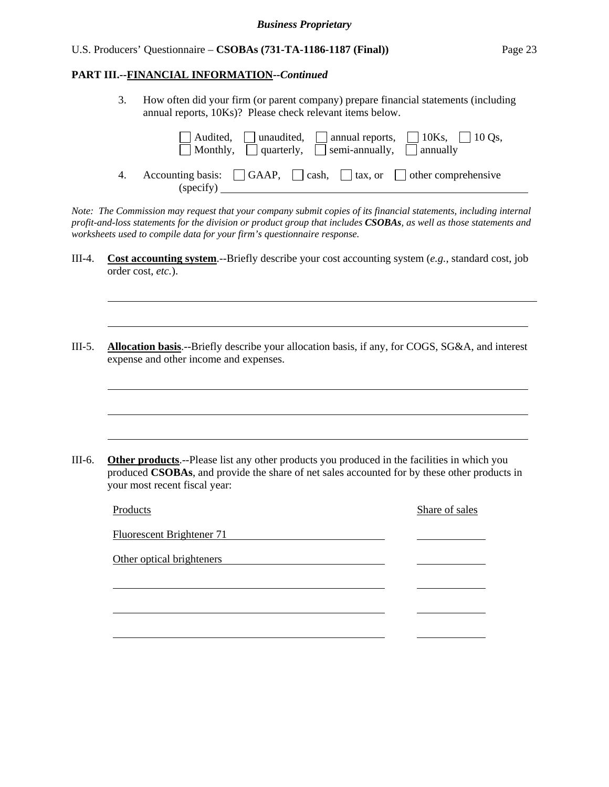#### **PART III.--FINANCIAL INFORMATION***--Continued*

 $\overline{a}$ 

l

l

l

l

 3. How often did your firm (or parent company) prepare financial statements (including annual reports, 10Ks)? Please check relevant items below.

| $\Box$ Audited, $\Box$ unaudited, $\Box$ annual reports, $\Box$ 10Ks, $\Box$ 10Qs,<br>$\Box$ Monthly, $\Box$ quarterly, $\Box$ semi-annually, $\Box$ annually |
|---------------------------------------------------------------------------------------------------------------------------------------------------------------|
| Accounting basis: $\Box$ GAAP, $\Box$ cash, $\Box$ tax, or $\Box$ other comprehensive<br>(specify)                                                            |

*Note: The Commission may request that your company submit copies of its financial statements, including internal profit-and-loss statements for the division or product group that includes CSOBAs, as well as those statements and worksheets used to compile data for your firm's questionnaire response.* 

- III-4. **Cost accounting system**.--Briefly describe your cost accounting system (*e.g.*, standard cost, job order cost, *etc.*).
- III-5. **Allocation basis**.--Briefly describe your allocation basis, if any, for COGS, SG&A, and interest expense and other income and expenses.

III-6. **Other products**.--Please list any other products you produced in the facilities in which you produced **CSOBAs**, and provide the share of net sales accounted for by these other products in your most recent fiscal year:

| Products                         | Share of sales |
|----------------------------------|----------------|
| <b>Fluorescent Brightener 71</b> |                |
| Other optical brighteners        |                |
|                                  |                |
|                                  |                |
|                                  |                |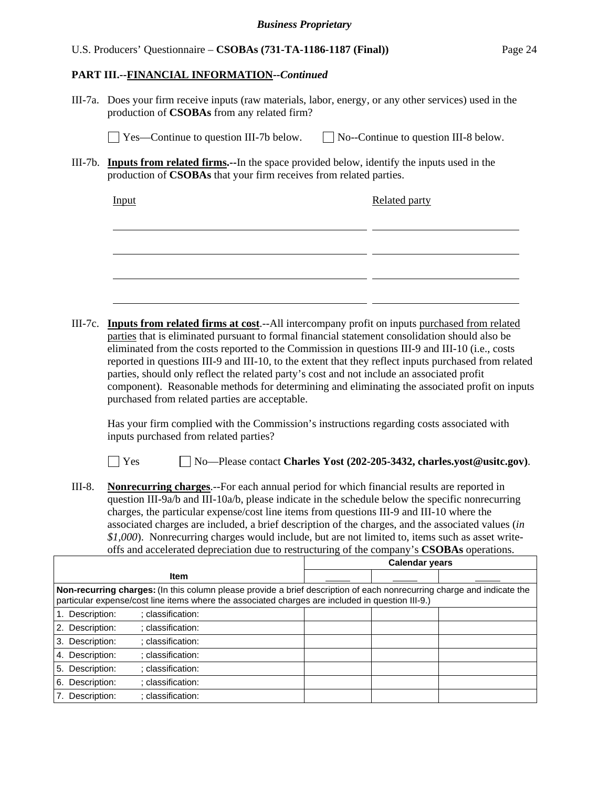#### **PART III.--FINANCIAL INFORMATION***--Continued*

III-7a. Does your firm receive inputs (raw materials, labor, energy, or any other services) used in the production of **CSOBAs** from any related firm?

 $\Box$  Yes—Continue to question III-7b below.  $\Box$  No--Continue to question III-8 below.

III-7b. **Inputs from related firms.--**In the space provided below, identify the inputs used in the production of **CSOBAs** that your firm receives from related parties.

| Input | <b>Related party</b> |
|-------|----------------------|
|       |                      |
|       |                      |
|       |                      |
|       |                      |

III-7c. **Inputs from related firms at cost**.--All intercompany profit on inputs purchased from related parties that is eliminated pursuant to formal financial statement consolidation should also be eliminated from the costs reported to the Commission in questions III-9 and III-10 (i.e., costs reported in questions III-9 and III-10, to the extent that they reflect inputs purchased from related parties, should only reflect the related party's cost and not include an associated profit component). Reasonable methods for determining and eliminating the associated profit on inputs purchased from related parties are acceptable.

 Has your firm complied with the Commission's instructions regarding costs associated with inputs purchased from related parties?

Yes No—Please contact **Charles Yost (202-205-3432, charles.yost@usitc.gov)**.

III-8. **Nonrecurring charges**.--For each annual period for which financial results are reported in question III-9a/b and III-10a/b, please indicate in the schedule below the specific nonrecurring charges, the particular expense/cost line items from questions III-9 and III-10 where the associated charges are included, a brief description of the charges, and the associated values (*in \$1,000*). Nonrecurring charges would include, but are not limited to, items such as asset writeoffs and accelerated depreciation due to restructuring of the company's **CSOBAs** operations.

|                                                                                                                                                                                                                            |  | <b>Calendar years</b> |  |
|----------------------------------------------------------------------------------------------------------------------------------------------------------------------------------------------------------------------------|--|-----------------------|--|
| <b>Item</b>                                                                                                                                                                                                                |  |                       |  |
| Non-recurring charges: (In this column please provide a brief description of each nonrecurring charge and indicate the<br>particular expense/cost line items where the associated charges are included in question III-9.) |  |                       |  |
| Description:<br>: classification:                                                                                                                                                                                          |  |                       |  |
| Description:<br>: classification:<br>2.                                                                                                                                                                                    |  |                       |  |
| Description:<br>: classification:<br>3.                                                                                                                                                                                    |  |                       |  |
| Description:<br>: classification:<br>4.                                                                                                                                                                                    |  |                       |  |
| Description:<br>: classification:<br>5.                                                                                                                                                                                    |  |                       |  |
| Description:<br>: classification:<br>6.                                                                                                                                                                                    |  |                       |  |
| Description:<br>: classification:                                                                                                                                                                                          |  |                       |  |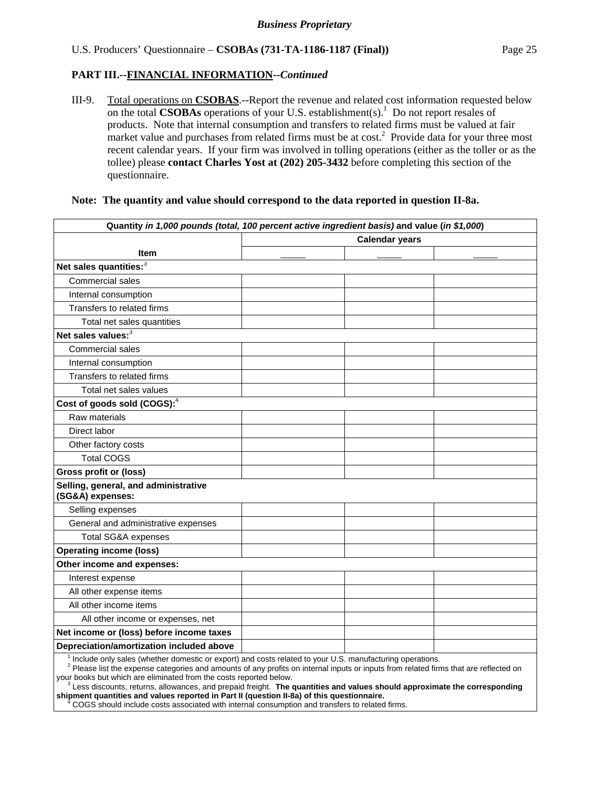III-9. Total operations on **CSOBAS**.--Report the revenue and related cost information requested below on the total **CSOBAs** operations of your U.S. establishment(s).<sup>1</sup> Do not report resales of products. Note that internal consumption and transfers to related firms must be valued at fair market value and purchases from related firms must be at  $cost<sup>2</sup>$ . Provide data for your three most recent calendar years. If your firm was involved in tolling operations (either as the toller or as the tollee) please **contact Charles Yost at (202) 205-3432** before completing this section of the questionnaire.

#### **Note: The quantity and value should correspond to the data reported in question II-8a.**

|                                                          | Quantity in 1,000 pounds (total, 100 percent active ingredient basis) and value (in \$1,000) |  |
|----------------------------------------------------------|----------------------------------------------------------------------------------------------|--|
|                                                          | <b>Calendar years</b>                                                                        |  |
| <b>Item</b>                                              |                                                                                              |  |
| Net sales quantities: <sup>3</sup>                       |                                                                                              |  |
| Commercial sales                                         |                                                                                              |  |
| Internal consumption                                     |                                                                                              |  |
| Transfers to related firms                               |                                                                                              |  |
| Total net sales quantities                               |                                                                                              |  |
| Net sales values: <sup>3</sup>                           |                                                                                              |  |
| Commercial sales                                         |                                                                                              |  |
| Internal consumption                                     |                                                                                              |  |
| Transfers to related firms                               |                                                                                              |  |
| Total net sales values                                   |                                                                                              |  |
| Cost of goods sold (COGS): <sup>4</sup>                  |                                                                                              |  |
| Raw materials                                            |                                                                                              |  |
| Direct labor                                             |                                                                                              |  |
| Other factory costs                                      |                                                                                              |  |
| <b>Total COGS</b>                                        |                                                                                              |  |
| <b>Gross profit or (loss)</b>                            |                                                                                              |  |
| Selling, general, and administrative<br>(SG&A) expenses: |                                                                                              |  |
| Selling expenses                                         |                                                                                              |  |
| General and administrative expenses                      |                                                                                              |  |
| <b>Total SG&amp;A expenses</b>                           |                                                                                              |  |
| <b>Operating income (loss)</b>                           |                                                                                              |  |
| Other income and expenses:                               |                                                                                              |  |
| Interest expense                                         |                                                                                              |  |
| All other expense items                                  |                                                                                              |  |
| All other income items                                   |                                                                                              |  |
| All other income or expenses, net                        |                                                                                              |  |
| Net income or (loss) before income taxes                 |                                                                                              |  |
| Depreciation/amortization included above                 |                                                                                              |  |

 $\overline{1}$ Include only sales (whether domestic or export) and costs related to your U.S. manufacturing operations.

 <sup>2</sup> Please list the expense categories and amounts of any profits on internal inputs or inputs from related firms that are reflected on

your books but which are eliminated from the costs reported below.<br><sup>3</sup> Less discounts, returns, allowances, and prepaid freight. The c Less discounts, returns, allowances, and prepaid freight. **The quantities and values should approximate the corresponding shipment quantities and values reported in Part II (question II-8a) of this questionnaire.**  <sup>4</sup>

COGS should include costs associated with internal consumption and transfers to related firms.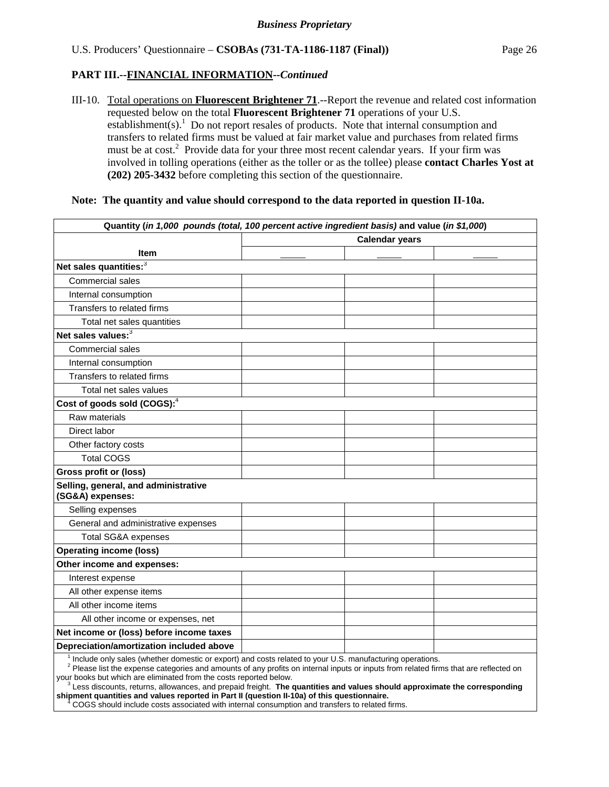## **PART III.--FINANCIAL INFORMATION***--Continued*

III-10. Total operations on **Fluorescent Brightener 71**.--Report the revenue and related cost information requested below on the total **Fluorescent Brightener 71** operations of your U.S. establishment(s).<sup>1</sup> Do not report resales of products. Note that internal consumption and transfers to related firms must be valued at fair market value and purchases from related firms must be at cost.<sup>2</sup> Provide data for your three most recent calendar years. If your firm was involved in tolling operations (either as the toller or as the tollee) please **contact Charles Yost at (202) 205-3432** before completing this section of the questionnaire.

#### **Note: The quantity and value should correspond to the data reported in question II-10a.**

|                                                          | Quantity (in 1,000 pounds (total, 100 percent active ingredient basis) and value (in \$1,000) |
|----------------------------------------------------------|-----------------------------------------------------------------------------------------------|
|                                                          | <b>Calendar years</b>                                                                         |
| <b>Item</b>                                              |                                                                                               |
| Net sales quantities: <sup>3</sup>                       |                                                                                               |
| Commercial sales                                         |                                                                                               |
| Internal consumption                                     |                                                                                               |
| Transfers to related firms                               |                                                                                               |
| Total net sales quantities                               |                                                                                               |
| Net sales values: <sup>3</sup>                           |                                                                                               |
| <b>Commercial sales</b>                                  |                                                                                               |
| Internal consumption                                     |                                                                                               |
| Transfers to related firms                               |                                                                                               |
| Total net sales values                                   |                                                                                               |
| Cost of goods sold (COGS): <sup>4</sup>                  |                                                                                               |
| Raw materials                                            |                                                                                               |
| Direct labor                                             |                                                                                               |
| Other factory costs                                      |                                                                                               |
| <b>Total COGS</b>                                        |                                                                                               |
| <b>Gross profit or (loss)</b>                            |                                                                                               |
| Selling, general, and administrative<br>(SG&A) expenses: |                                                                                               |
| Selling expenses                                         |                                                                                               |
| General and administrative expenses                      |                                                                                               |
| <b>Total SG&amp;A expenses</b>                           |                                                                                               |
| <b>Operating income (loss)</b>                           |                                                                                               |
| Other income and expenses:                               |                                                                                               |
| Interest expense                                         |                                                                                               |
| All other expense items                                  |                                                                                               |
| All other income items                                   |                                                                                               |
| All other income or expenses, net                        |                                                                                               |
| Net income or (loss) before income taxes                 |                                                                                               |
| Depreciation/amortization included above                 |                                                                                               |
|                                                          |                                                                                               |

<sup>1</sup> Include only sales (whether domestic or export) and costs related to your U.S. manufacturing operations.

 <sup>2</sup> Please list the expense categories and amounts of any profits on internal inputs or inputs from related firms that are reflected on

your books but which are eliminated from the costs reported below.<br><sup>3</sup> Less discounts, returns, allowances, and prepaid freight. The c Less discounts, returns, allowances, and prepaid freight. **The quantities and values should approximate the corresponding shipment quantities and values reported in Part II (question II-10a) of this questionnaire.**  <sup>4</sup>

COGS should include costs associated with internal consumption and transfers to related firms.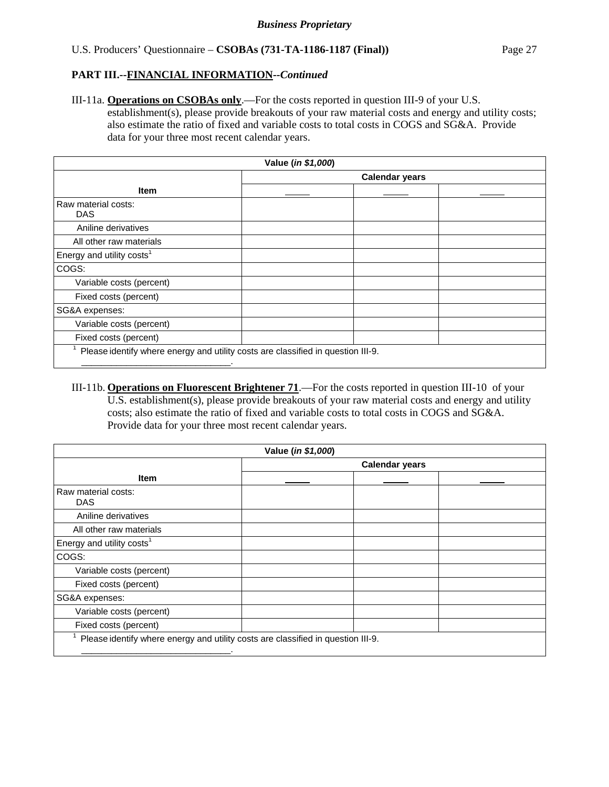## **PART III.--FINANCIAL INFORMATION***--Continued*

III-11a. **Operations on CSOBAs only**.—For the costs reported in question III-9 of your U.S. establishment(s), please provide breakouts of your raw material costs and energy and utility costs; also estimate the ratio of fixed and variable costs to total costs in COGS and SG&A. Provide data for your three most recent calendar years.

| Value (in \$1,000)                                                               |                       |  |  |
|----------------------------------------------------------------------------------|-----------------------|--|--|
|                                                                                  | <b>Calendar years</b> |  |  |
| <b>Item</b>                                                                      |                       |  |  |
| Raw material costs:                                                              |                       |  |  |
| <b>DAS</b>                                                                       |                       |  |  |
| Aniline derivatives                                                              |                       |  |  |
| All other raw materials                                                          |                       |  |  |
| Energy and utility costs <sup>1</sup>                                            |                       |  |  |
| COGS:                                                                            |                       |  |  |
| Variable costs (percent)                                                         |                       |  |  |
| Fixed costs (percent)                                                            |                       |  |  |
| SG&A expenses:                                                                   |                       |  |  |
| Variable costs (percent)                                                         |                       |  |  |
| Fixed costs (percent)                                                            |                       |  |  |
| Please identify where energy and utility costs are classified in question III-9. |                       |  |  |

III-11b. **Operations on Fluorescent Brightener 71**.—For the costs reported in question III-10 of your U.S. establishment(s), please provide breakouts of your raw material costs and energy and utility costs; also estimate the ratio of fixed and variable costs to total costs in COGS and SG&A. Provide data for your three most recent calendar years.

| Value (in \$1,000)                                                               |                       |  |
|----------------------------------------------------------------------------------|-----------------------|--|
|                                                                                  | <b>Calendar years</b> |  |
| <b>Item</b>                                                                      |                       |  |
| Raw material costs:<br><b>DAS</b>                                                |                       |  |
| Aniline derivatives                                                              |                       |  |
| All other raw materials                                                          |                       |  |
| Energy and utility costs <sup>1</sup>                                            |                       |  |
| COGS:                                                                            |                       |  |
| Variable costs (percent)                                                         |                       |  |
| Fixed costs (percent)                                                            |                       |  |
| SG&A expenses:                                                                   |                       |  |
| Variable costs (percent)                                                         |                       |  |
| Fixed costs (percent)                                                            |                       |  |
| Please identify where energy and utility costs are classified in question III-9. |                       |  |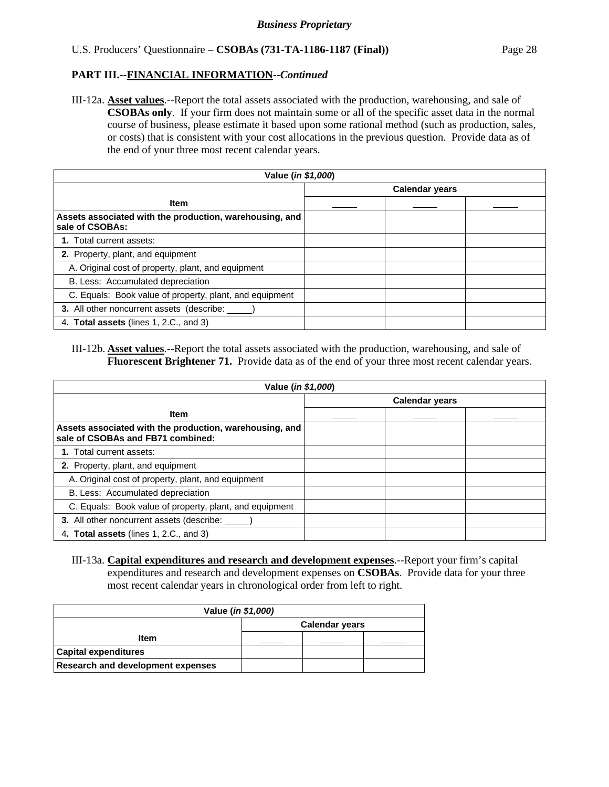III-12a. **Asset values**.--Report the total assets associated with the production, warehousing, and sale of **CSOBAs only**. If your firm does not maintain some or all of the specific asset data in the normal course of business, please estimate it based upon some rational method (such as production, sales, or costs) that is consistent with your cost allocations in the previous question. Provide data as of the end of your three most recent calendar years.

| Value ( <i>in \$1,000</i> )                                                |                       |  |  |  |  |  |
|----------------------------------------------------------------------------|-----------------------|--|--|--|--|--|
|                                                                            | <b>Calendar years</b> |  |  |  |  |  |
| <b>Item</b>                                                                |                       |  |  |  |  |  |
| Assets associated with the production, warehousing, and<br>sale of CSOBAs: |                       |  |  |  |  |  |
| 1. Total current assets:                                                   |                       |  |  |  |  |  |
| 2. Property, plant, and equipment                                          |                       |  |  |  |  |  |
| A. Original cost of property, plant, and equipment                         |                       |  |  |  |  |  |
| B. Less: Accumulated depreciation                                          |                       |  |  |  |  |  |
| C. Equals: Book value of property, plant, and equipment                    |                       |  |  |  |  |  |
| <b>3.</b> All other noncurrent assets (describe:                           |                       |  |  |  |  |  |
| 4. Total assets (lines 1, 2.C., and 3)                                     |                       |  |  |  |  |  |

#### III-12b. **Asset values**.--Report the total assets associated with the production, warehousing, and sale of **Fluorescent Brightener 71.** Provide data as of the end of your three most recent calendar years.

| Value ( <i>in \$1,000</i> )                                                                  |  |                       |  |  |  |  |
|----------------------------------------------------------------------------------------------|--|-----------------------|--|--|--|--|
|                                                                                              |  | <b>Calendar years</b> |  |  |  |  |
| <b>Item</b>                                                                                  |  |                       |  |  |  |  |
| Assets associated with the production, warehousing, and<br>sale of CSOBAs and FB71 combined: |  |                       |  |  |  |  |
| 1. Total current assets:                                                                     |  |                       |  |  |  |  |
| 2. Property, plant, and equipment                                                            |  |                       |  |  |  |  |
| A. Original cost of property, plant, and equipment                                           |  |                       |  |  |  |  |
| B. Less: Accumulated depreciation                                                            |  |                       |  |  |  |  |
| C. Equals: Book value of property, plant, and equipment                                      |  |                       |  |  |  |  |
| 3. All other noncurrent assets (describe:                                                    |  |                       |  |  |  |  |
| 4. Total assets (lines 1, 2.C., and 3)                                                       |  |                       |  |  |  |  |

III-13a. **Capital expenditures and research and development expenses**.--Report your firm's capital expenditures and research and development expenses on **CSOBAs**. Provide data for your three most recent calendar years in chronological order from left to right.

| Value ( <i>in \$1,000</i> )       |                       |  |  |  |  |  |
|-----------------------------------|-----------------------|--|--|--|--|--|
|                                   | <b>Calendar years</b> |  |  |  |  |  |
| Item                              |                       |  |  |  |  |  |
| <b>Capital expenditures</b>       |                       |  |  |  |  |  |
| Research and development expenses |                       |  |  |  |  |  |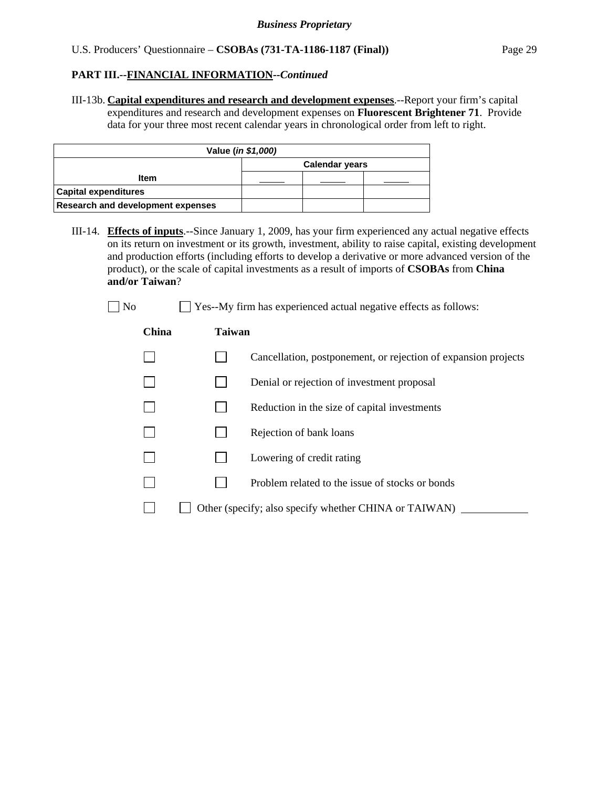III-13b. **Capital expenditures and research and development expenses**.--Report your firm's capital expenditures and research and development expenses on **Fluorescent Brightener 71**. Provide data for your three most recent calendar years in chronological order from left to right.

| Value ( <i>in \$1,000)</i>               |  |  |  |  |  |
|------------------------------------------|--|--|--|--|--|
| <b>Calendar years</b>                    |  |  |  |  |  |
| Item                                     |  |  |  |  |  |
| <b>Capital expenditures</b>              |  |  |  |  |  |
| <b>Research and development expenses</b> |  |  |  |  |  |

III-14. **Effects of inputs**.--Since January 1, 2009, has your firm experienced any actual negative effects on its return on investment or its growth, investment, ability to raise capital, existing development and production efforts (including efforts to develop a derivative or more advanced version of the product), or the scale of capital investments as a result of imports of **CSOBAs** from **China and/or Taiwan**?

| N٢ |
|----|
|----|

#### **China Taiwan**

|  | Cancellation, postponement, or rejection of expansion projects |
|--|----------------------------------------------------------------|
|  | Denial or rejection of investment proposal                     |

 $\Box$  Yes--My firm has experienced actual negative effects as follows:

- $\Box$  Reduction in the size of capital investments
- $\Box$  Rejection of bank loans
- $\Box$  Lowering of credit rating
- $\Box$  Problem related to the issue of stocks or bonds
- $\Box$  Other (specify; also specify whether CHINA or TAIWAN)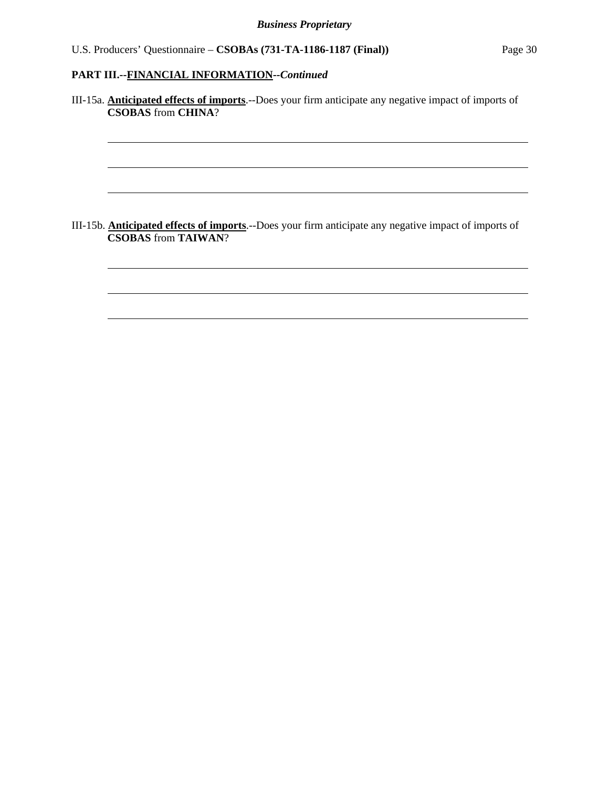l

l

l

l

l

l

III-15a. **Anticipated effects of imports**.--Does your firm anticipate any negative impact of imports of **CSOBAS** from **CHINA**?

III-15b. **Anticipated effects of imports**.--Does your firm anticipate any negative impact of imports of **CSOBAS** from **TAIWAN**?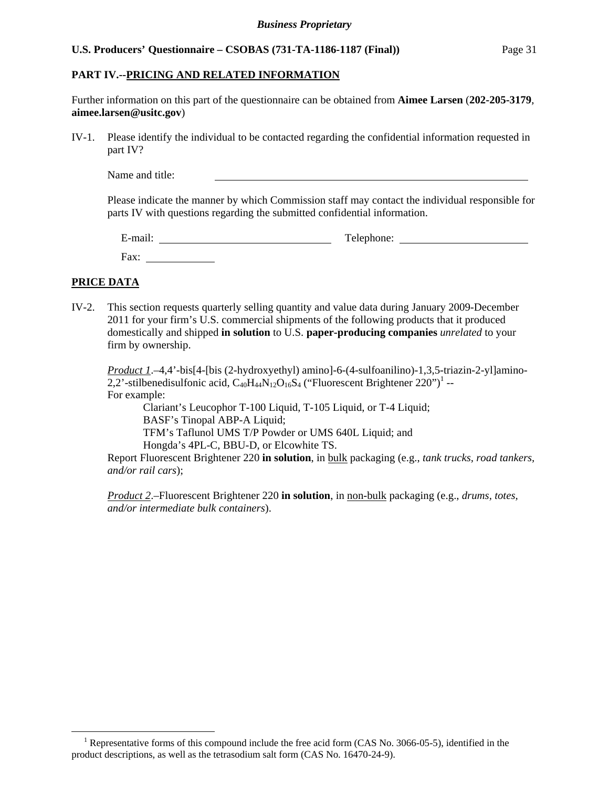### **PART IV.--PRICING AND RELATED INFORMATION**

Further information on this part of the questionnaire can be obtained from **Aimee Larsen** (**202-205-3179**, **aimee.larsen@usitc.gov**)

IV-1. Please identify the individual to be contacted regarding the confidential information requested in part IV?

Name and title:

Please indicate the manner by which Commission staff may contact the individual responsible for parts IV with questions regarding the submitted confidential information.

| $\cdot$ $\cdot$<br>$\overline{\phantom{0}}$<br>±-mail: | Telephone: |
|--------------------------------------------------------|------------|
| Fax:                                                   |            |

## **PRICE DATA**

 $\overline{a}$ 

IV-2. This section requests quarterly selling quantity and value data during January 2009-December 2011 for your firm's U.S. commercial shipments of the following products that it produced domestically and shipped **in solution** to U.S. **paper-producing companies** *unrelated* to your firm by ownership.

*Product 1*.–4,4'-bis[4-[bis (2-hydroxyethyl) amino]-6-(4-sulfoanilino)-1,3,5-triazin-2-yl]amino-2,2'-stilbenedisulfonic acid,  $C_{40}H_{44}N_{12}O_{16}S_4$  ("Fluorescent Brightener 220")<sup>1</sup> --For example:

 Clariant's Leucophor T-100 Liquid, T-105 Liquid, or T-4 Liquid; BASF's Tinopal ABP-A Liquid; TFM's Taflunol UMS T/P Powder or UMS 640L Liquid; and Hongda's 4PL-C, BBU-D, or Elcowhite TS.

Report Fluorescent Brightener 220 **in solution**, in bulk packaging (e.g., *tank trucks, road tankers, and/or rail cars*);

*Product 2*.–Fluorescent Brightener 220 **in solution**, in non-bulk packaging (e.g., *drums, totes, and/or intermediate bulk containers*).

<sup>&</sup>lt;sup>1</sup> Representative forms of this compound include the free acid form (CAS No. 3066-05-5), identified in the product descriptions, as well as the tetrasodium salt form (CAS No. 16470-24-9).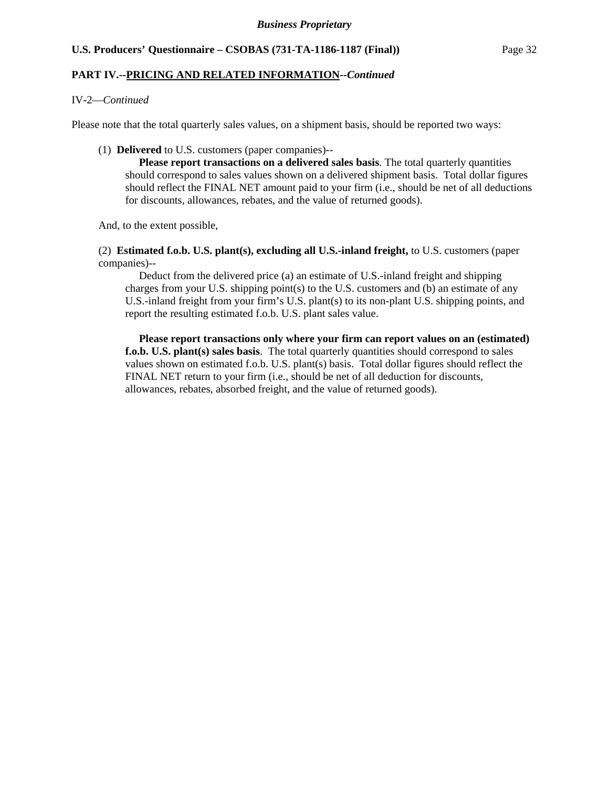## **PART IV.--PRICING AND RELATED INFORMATION***--Continued*

#### IV-2—*Continued*

Please note that the total quarterly sales values, on a shipment basis, should be reported two ways:

#### (1) **Delivered** to U.S. customers (paper companies)--

 **Please report transactions on a delivered sales basis**. The total quarterly quantities should correspond to sales values shown on a delivered shipment basis. Total dollar figures should reflect the FINAL NET amount paid to your firm (i.e., should be net of all deductions for discounts, allowances, rebates, and the value of returned goods).

And, to the extent possible,

 (2) **Estimated f.o.b. U.S. plant(s), excluding all U.S.-inland freight,** to U.S. customers (paper companies)--

 Deduct from the delivered price (a) an estimate of U.S.-inland freight and shipping charges from your U.S. shipping point(s) to the U.S. customers and (b) an estimate of any U.S.-inland freight from your firm's U.S. plant(s) to its non-plant U.S. shipping points, and report the resulting estimated f.o.b. U.S. plant sales value.

 **Please report transactions only where your firm can report values on an (estimated) f.o.b. U.S. plant(s) sales basis**. The total quarterly quantities should correspond to sales values shown on estimated f.o.b. U.S. plant(s) basis. Total dollar figures should reflect the FINAL NET return to your firm (i.e., should be net of all deduction for discounts, allowances, rebates, absorbed freight, and the value of returned goods).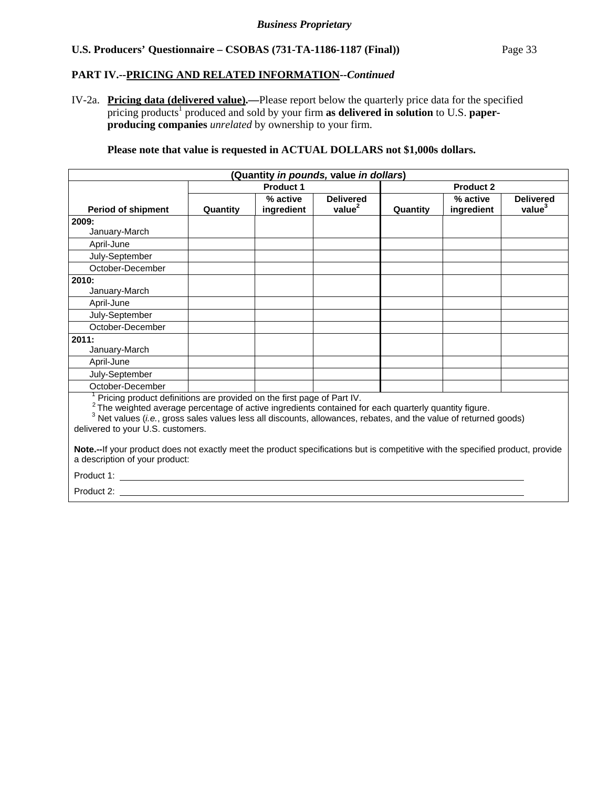## **PART IV.--PRICING AND RELATED INFORMATION***--Continued*

IV-2a. **Pricing data (delivered value).—**Please report below the quarterly price data for the specified pricing products<sup>1</sup> produced and sold by your firm as delivered in solution to U.S. paper**producing companies** *unrelated* by ownership to your firm.

**Please note that value is requested in ACTUAL DOLLARS not \$1,000s dollars.**

| (Quantity in pounds, value in dollars)                                                                                                                                                                                                                                                                                                                |          |                        |                                        |                  |                        |                                        |
|-------------------------------------------------------------------------------------------------------------------------------------------------------------------------------------------------------------------------------------------------------------------------------------------------------------------------------------------------------|----------|------------------------|----------------------------------------|------------------|------------------------|----------------------------------------|
|                                                                                                                                                                                                                                                                                                                                                       |          | <b>Product 1</b>       |                                        | <b>Product 2</b> |                        |                                        |
| <b>Period of shipment</b>                                                                                                                                                                                                                                                                                                                             | Quantity | % active<br>ingredient | <b>Delivered</b><br>value <sup>2</sup> | Quantity         | % active<br>ingredient | <b>Delivered</b><br>value <sup>3</sup> |
| 2009:                                                                                                                                                                                                                                                                                                                                                 |          |                        |                                        |                  |                        |                                        |
| January-March                                                                                                                                                                                                                                                                                                                                         |          |                        |                                        |                  |                        |                                        |
| April-June                                                                                                                                                                                                                                                                                                                                            |          |                        |                                        |                  |                        |                                        |
| July-September                                                                                                                                                                                                                                                                                                                                        |          |                        |                                        |                  |                        |                                        |
| October-December                                                                                                                                                                                                                                                                                                                                      |          |                        |                                        |                  |                        |                                        |
| 2010:                                                                                                                                                                                                                                                                                                                                                 |          |                        |                                        |                  |                        |                                        |
| January-March                                                                                                                                                                                                                                                                                                                                         |          |                        |                                        |                  |                        |                                        |
| April-June                                                                                                                                                                                                                                                                                                                                            |          |                        |                                        |                  |                        |                                        |
| July-September                                                                                                                                                                                                                                                                                                                                        |          |                        |                                        |                  |                        |                                        |
| October-December                                                                                                                                                                                                                                                                                                                                      |          |                        |                                        |                  |                        |                                        |
| 2011:                                                                                                                                                                                                                                                                                                                                                 |          |                        |                                        |                  |                        |                                        |
| January-March                                                                                                                                                                                                                                                                                                                                         |          |                        |                                        |                  |                        |                                        |
| April-June                                                                                                                                                                                                                                                                                                                                            |          |                        |                                        |                  |                        |                                        |
| July-September                                                                                                                                                                                                                                                                                                                                        |          |                        |                                        |                  |                        |                                        |
| October-December                                                                                                                                                                                                                                                                                                                                      |          |                        |                                        |                  |                        |                                        |
| Pricing product definitions are provided on the first page of Part IV.<br>$2$ The weighted average percentage of active ingredients contained for each quarterly quantity figure.<br><sup>3</sup> Net values (i.e., gross sales values less all discounts, allowances, rebates, and the value of returned goods)<br>delivered to your U.S. customers. |          |                        |                                        |                  |                        |                                        |
| Note.--If your product does not exactly meet the product specifications but is competitive with the specified product, provide<br>a description of your product:                                                                                                                                                                                      |          |                        |                                        |                  |                        |                                        |
| Product 1:                                                                                                                                                                                                                                                                                                                                            |          |                        |                                        |                  |                        |                                        |
| Product 2:                                                                                                                                                                                                                                                                                                                                            |          |                        |                                        |                  |                        |                                        |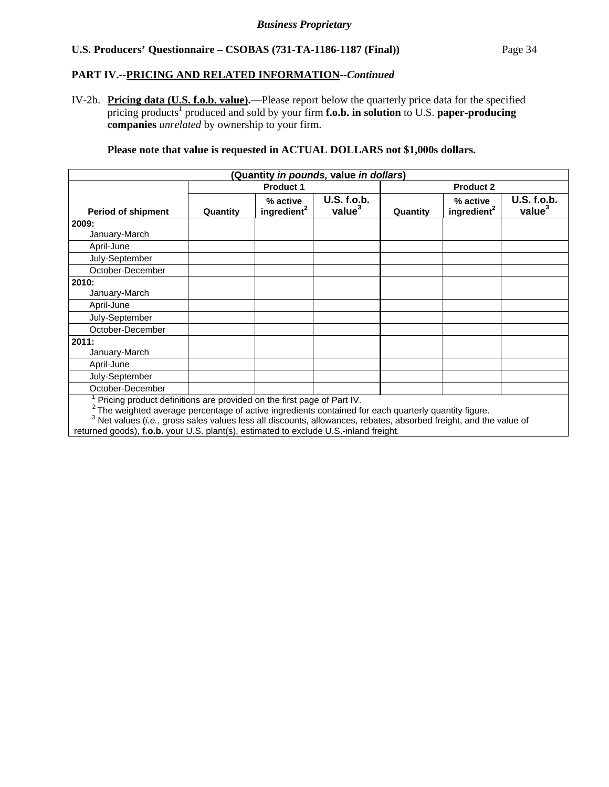## **PART IV.--PRICING AND RELATED INFORMATION***--Continued*

IV-2b. **Pricing data (U.S. f.o.b. value).—**Please report below the quarterly price data for the specified pricing products<sup>1</sup> produced and sold by your firm **f.o.b. in solution** to U.S. paper-producing **companies** *unrelated* by ownership to your firm.

## **Please note that value is requested in ACTUAL DOLLARS not \$1,000s dollars.**

| (Quantity in pounds, value in dollars)                                                                                                                                                                                                                                                                                                                                                                      |          |                                     |                                          |                  |                                     |                                   |
|-------------------------------------------------------------------------------------------------------------------------------------------------------------------------------------------------------------------------------------------------------------------------------------------------------------------------------------------------------------------------------------------------------------|----------|-------------------------------------|------------------------------------------|------------------|-------------------------------------|-----------------------------------|
|                                                                                                                                                                                                                                                                                                                                                                                                             |          | <b>Product 1</b>                    |                                          | <b>Product 2</b> |                                     |                                   |
| <b>Period of shipment</b>                                                                                                                                                                                                                                                                                                                                                                                   | Quantity | % active<br>ingredient <sup>2</sup> | <b>U.S. f.o.b.</b><br>value <sup>3</sup> | Quantity         | % active<br>ingredient <sup>2</sup> | U.S. f.o.b.<br>value <sup>3</sup> |
| 2009:                                                                                                                                                                                                                                                                                                                                                                                                       |          |                                     |                                          |                  |                                     |                                   |
| January-March                                                                                                                                                                                                                                                                                                                                                                                               |          |                                     |                                          |                  |                                     |                                   |
| April-June                                                                                                                                                                                                                                                                                                                                                                                                  |          |                                     |                                          |                  |                                     |                                   |
| July-September                                                                                                                                                                                                                                                                                                                                                                                              |          |                                     |                                          |                  |                                     |                                   |
| October-December                                                                                                                                                                                                                                                                                                                                                                                            |          |                                     |                                          |                  |                                     |                                   |
| 2010:                                                                                                                                                                                                                                                                                                                                                                                                       |          |                                     |                                          |                  |                                     |                                   |
| January-March                                                                                                                                                                                                                                                                                                                                                                                               |          |                                     |                                          |                  |                                     |                                   |
| April-June                                                                                                                                                                                                                                                                                                                                                                                                  |          |                                     |                                          |                  |                                     |                                   |
| July-September                                                                                                                                                                                                                                                                                                                                                                                              |          |                                     |                                          |                  |                                     |                                   |
| October-December                                                                                                                                                                                                                                                                                                                                                                                            |          |                                     |                                          |                  |                                     |                                   |
| 2011:<br>January-March                                                                                                                                                                                                                                                                                                                                                                                      |          |                                     |                                          |                  |                                     |                                   |
| April-June                                                                                                                                                                                                                                                                                                                                                                                                  |          |                                     |                                          |                  |                                     |                                   |
| July-September                                                                                                                                                                                                                                                                                                                                                                                              |          |                                     |                                          |                  |                                     |                                   |
| October-December                                                                                                                                                                                                                                                                                                                                                                                            |          |                                     |                                          |                  |                                     |                                   |
| Pricing product definitions are provided on the first page of Part IV.<br>$2$ The weighted average percentage of active ingredients contained for each quarterly quantity figure.<br><sup>3</sup> Net values (i.e., gross sales values less all discounts, allowances, rebates, absorbed freight, and the value of<br>returned goods), f.o.b. your U.S. plant(s), estimated to exclude U.S.-inland freight. |          |                                     |                                          |                  |                                     |                                   |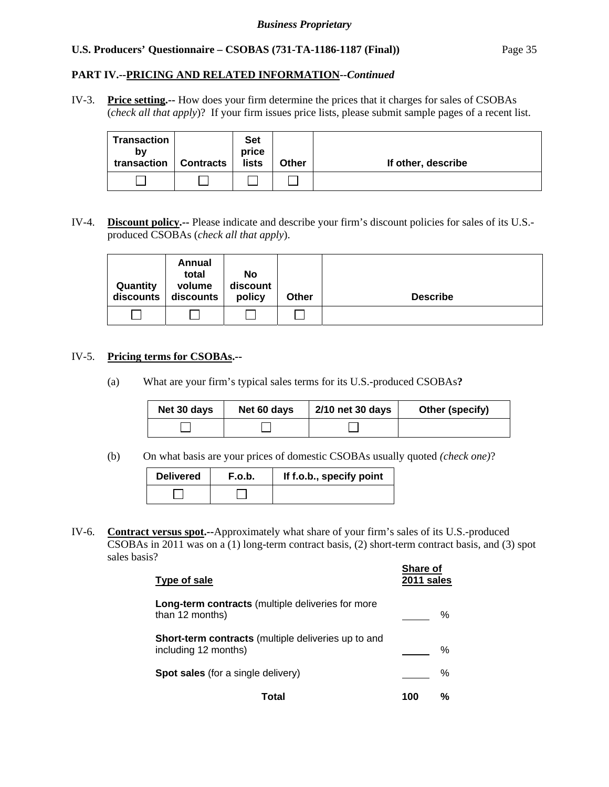## **PART IV.--PRICING AND RELATED INFORMATION***--Continued*

IV-3. **Price setting.--** How does your firm determine the prices that it charges for sales of CSOBAs (*check all that apply*)? If your firm issues price lists, please submit sample pages of a recent list.

| Transaction<br>bv<br>transaction | <b>Contracts</b> | <b>Set</b><br>price<br>lists | <b>Other</b> | If other, describe |
|----------------------------------|------------------|------------------------------|--------------|--------------------|
|                                  |                  |                              |              |                    |

IV-4. **Discount policy.--** Please indicate and describe your firm's discount policies for sales of its U.S. produced CSOBAs (*check all that apply*).

| Quantity<br>discounts | Annual<br>total<br>volume<br>discounts | No<br>discount<br>policy | Other | <b>Describe</b> |
|-----------------------|----------------------------------------|--------------------------|-------|-----------------|
|                       |                                        |                          |       |                 |

#### IV-5. **Pricing terms for CSOBAs.--**

(a) What are your firm's typical sales terms for its U.S.-produced CSOBAs**?** 

| Net 30 days | Net 60 days | 2/10 net 30 days | Other (specify) |
|-------------|-------------|------------------|-----------------|
|             |             |                  |                 |

(b) On what basis are your prices of domestic CSOBAs usually quoted *(check one)*?

| <b>Delivered</b> | F.o.b. | If f.o.b., specify point |
|------------------|--------|--------------------------|
|                  |        |                          |

IV-6. **Contract versus spot.--**Approximately what share of your firm's sales of its U.S.-produced CSOBAs in 2011 was on a (1) long-term contract basis, (2) short-term contract basis, and (3) spot sales basis?

| Type of sale                                                                | <b>Share of</b><br>2011 sales |   |
|-----------------------------------------------------------------------------|-------------------------------|---|
| Long-term contracts (multiple deliveries for more<br>than 12 months)        |                               | % |
| Short-term contracts (multiple deliveries up to and<br>including 12 months) |                               | % |
| <b>Spot sales</b> (for a single delivery)                                   |                               | ℅ |
| Total                                                                       | 100                           | % |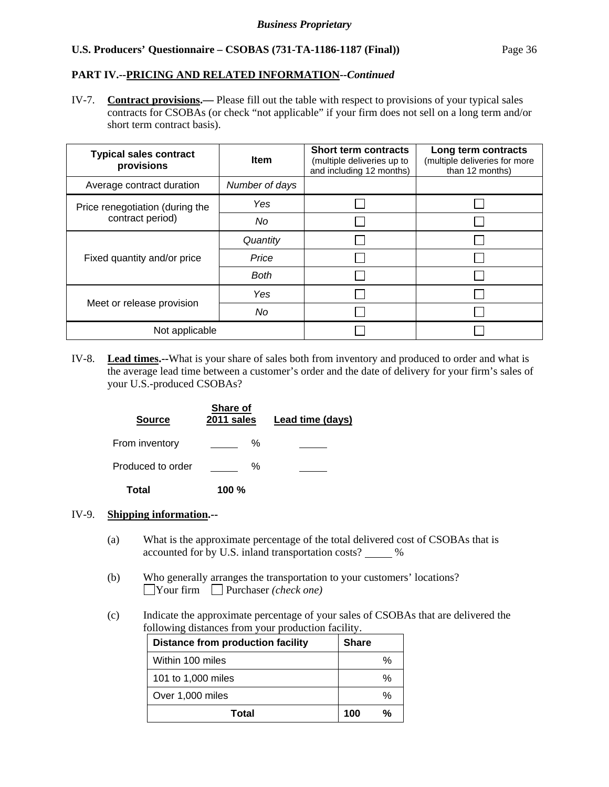## **PART IV.--PRICING AND RELATED INFORMATION***--Continued*

IV-7. **Contract provisions.—** Please fill out the table with respect to provisions of your typical sales contracts for CSOBAs (or check "not applicable" if your firm does not sell on a long term and/or short term contract basis).

| <b>Typical sales contract</b><br>provisions | <b>Item</b>    | <b>Short term contracts</b><br>(multiple deliveries up to<br>and including 12 months) | Long term contracts<br>(multiple deliveries for more<br>than 12 months) |
|---------------------------------------------|----------------|---------------------------------------------------------------------------------------|-------------------------------------------------------------------------|
| Average contract duration                   | Number of days |                                                                                       |                                                                         |
| Price renegotiation (during the             | Yes            |                                                                                       |                                                                         |
| contract period)                            | No             |                                                                                       |                                                                         |
|                                             | Quantity       |                                                                                       |                                                                         |
| Fixed quantity and/or price                 | Price          |                                                                                       |                                                                         |
|                                             | <b>Both</b>    |                                                                                       |                                                                         |
|                                             | Yes            |                                                                                       |                                                                         |
| Meet or release provision                   | No             |                                                                                       |                                                                         |
| Not applicable                              |                |                                                                                       |                                                                         |

IV-8. **Lead times.--**What is your share of sales both from inventory and produced to order and what is the average lead time between a customer's order and the date of delivery for your firm's sales of your U.S.-produced CSOBAs?

| <b>Source</b>     | Share of<br>2011 sales | Lead time (days) |
|-------------------|------------------------|------------------|
| From inventory    | ℅                      |                  |
| Produced to order | ℅                      |                  |
| Total             | 100 $%$                |                  |

### IV-9. **Shipping information.--**

- (a) What is the approximate percentage of the total delivered cost of CSOBAs that is accounted for by U.S. inland transportation costs? \_\_\_\_\_ %
- (b) Who generally arranges the transportation to your customers' locations? Your firm Purchaser *(check one)*
- (c) Indicate the approximate percentage of your sales of CSOBAs that are delivered the following distances from your production facility.

| <b>Distance from production facility</b> | <b>Share</b> |
|------------------------------------------|--------------|
| Within 100 miles                         | %            |
| 101 to 1,000 miles                       | %            |
| Over 1,000 miles                         | %            |
| Total                                    | ℀<br>100     |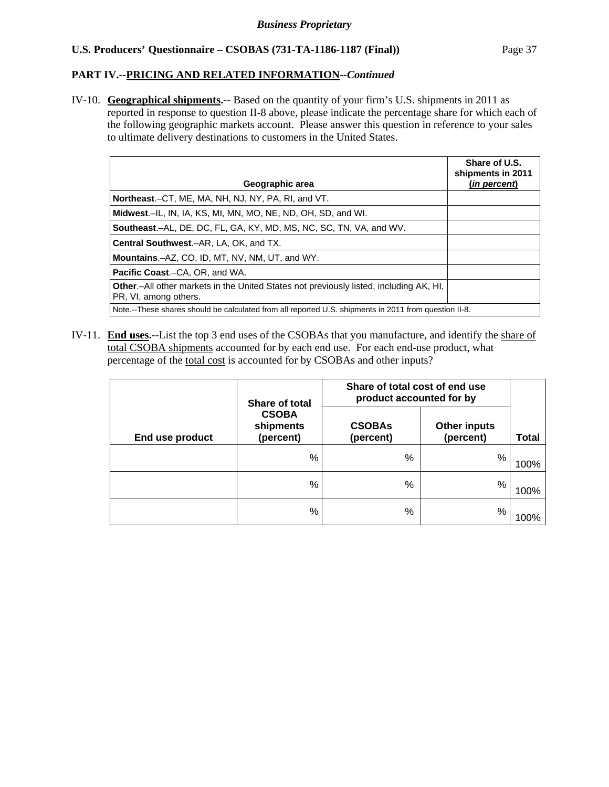## **PART IV.--PRICING AND RELATED INFORMATION***--Continued*

IV-10. **Geographical shipments.--** Based on the quantity of your firm's U.S. shipments in 2011 as reported in response to question II-8 above, please indicate the percentage share for which each of the following geographic markets account. Please answer this question in reference to your sales to ultimate delivery destinations to customers in the United States.

| Geographic area                                                                                                 | Share of U.S.<br>shipments in 2011<br>(in percent) |
|-----------------------------------------------------------------------------------------------------------------|----------------------------------------------------|
| Northeast.–CT, ME, MA, NH, NJ, NY, PA, RI, and VT.                                                              |                                                    |
|                                                                                                                 |                                                    |
| Midwest.-IL, IN, IA, KS, MI, MN, MO, NE, ND, OH, SD, and WI.                                                    |                                                    |
| <b>Southeast.–AL, DE, DC, FL, GA, KY, MD, MS, NC, SC, TN, VA, and WV.</b>                                       |                                                    |
| <b>Central Southwest.-AR, LA, OK, and TX.</b>                                                                   |                                                    |
| Mountains.-AZ, CO, ID, MT, NV, NM, UT, and WY.                                                                  |                                                    |
| <b>Pacific Coast.–CA, OR, and WA.</b>                                                                           |                                                    |
| Other.-All other markets in the United States not previously listed, including AK, HI,<br>PR, VI, among others. |                                                    |
| Note.--These shares should be calculated from all reported U.S. shipments in 2011 from question II-8.           |                                                    |

IV-11. **End uses.--**List the top 3 end uses of the CSOBAs that you manufacture, and identify the share of total CSOBA shipments accounted for by each end use. For each end-use product, what percentage of the total cost is accounted for by CSOBAs and other inputs?

|                 | <b>Share of total</b>                  | Share of total cost of end use<br>product accounted for by |                                  |       |
|-----------------|----------------------------------------|------------------------------------------------------------|----------------------------------|-------|
| End use product | <b>CSOBA</b><br>shipments<br>(percent) | <b>CSOBAs</b><br>(percent)                                 | <b>Other inputs</b><br>(percent) | Total |
|                 | %                                      | %                                                          | %                                | 100%  |
|                 | $\%$                                   | %                                                          | %                                | 100%  |
|                 | %                                      | %                                                          | %                                | 100%  |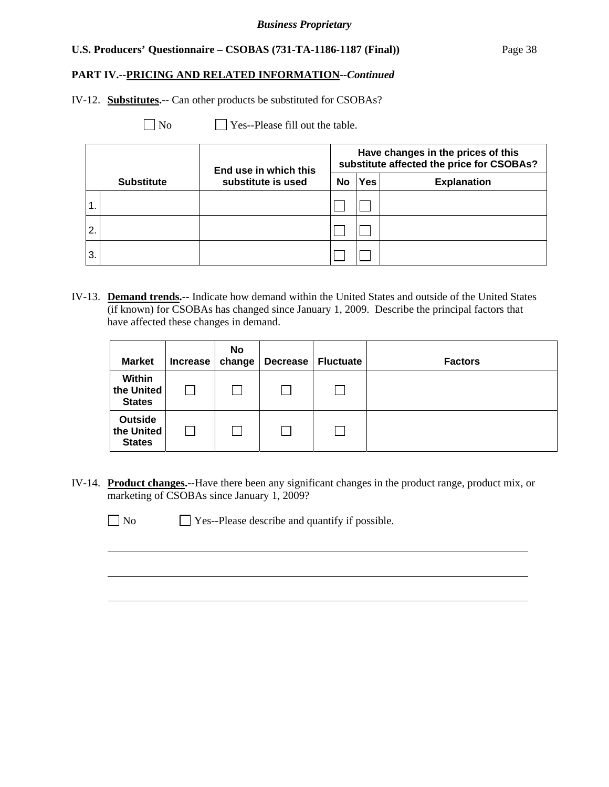## **PART IV.--PRICING AND RELATED INFORMATION***--Continued*

IV-12. **Substitutes.--** Can other products be substituted for CSOBAs?

No Yes--Please fill out the table.

|                |                   | End use in which this |    |     | Have changes in the prices of this<br>substitute affected the price for CSOBAs? |
|----------------|-------------------|-----------------------|----|-----|---------------------------------------------------------------------------------|
|                | <b>Substitute</b> | substitute is used    | No | Yes | <b>Explanation</b>                                                              |
|                |                   |                       |    |     |                                                                                 |
| $\overline{2}$ |                   |                       |    |     |                                                                                 |
| 3.             |                   |                       |    |     |                                                                                 |

IV-13. **Demand trends.--** Indicate how demand within the United States and outside of the United States (if known) for CSOBAs has changed since January 1, 2009. Describe the principal factors that have affected these changes in demand.

| <b>Market</b>                                 | Increase | No<br>change | <b>Decrease</b> | <b>Fluctuate</b> | <b>Factors</b> |
|-----------------------------------------------|----------|--------------|-----------------|------------------|----------------|
| Within<br>the United<br><b>States</b>         |          |              |                 |                  |                |
| <b>Outside</b><br>the United<br><b>States</b> |          |              |                 |                  |                |

IV-14. **Product changes.--**Have there been any significant changes in the product range, product mix, or marketing of CSOBAs since January 1, 2009?

 $\overline{a}$ 

No Ses--Please describe and quantify if possible.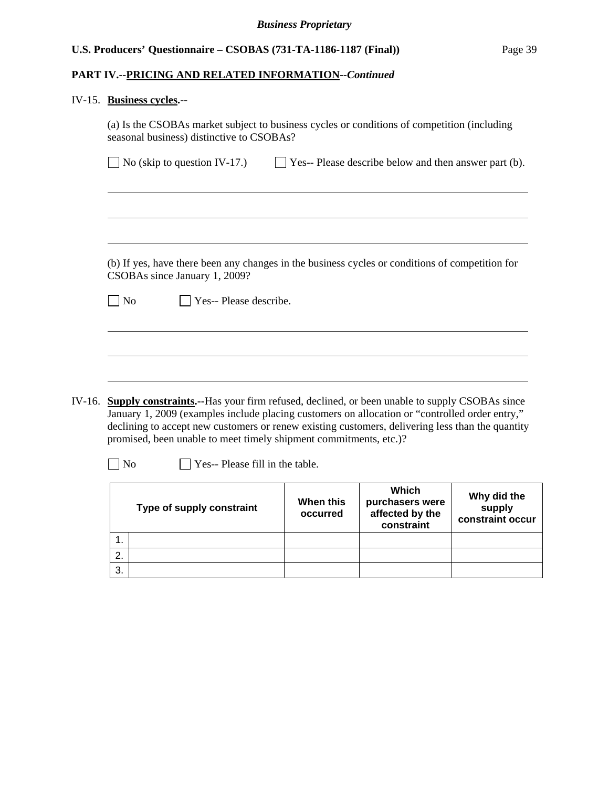# **PART IV.--PRICING AND RELATED INFORMATION***--Continued*

# IV-15. **Business cycles.--**

|        | (a) Is the CSOBAs market subject to business cycles or conditions of competition (including<br>seasonal business) distinctive to CSOBAs?                                                                                                                                                                                                                                       |  |  |  |  |  |  |
|--------|--------------------------------------------------------------------------------------------------------------------------------------------------------------------------------------------------------------------------------------------------------------------------------------------------------------------------------------------------------------------------------|--|--|--|--|--|--|
|        | $\Box$ Yes-- Please describe below and then answer part (b).<br>No (skip to question IV-17.)                                                                                                                                                                                                                                                                                   |  |  |  |  |  |  |
|        |                                                                                                                                                                                                                                                                                                                                                                                |  |  |  |  |  |  |
|        |                                                                                                                                                                                                                                                                                                                                                                                |  |  |  |  |  |  |
|        | (b) If yes, have there been any changes in the business cycles or conditions of competition for<br>CSOBAs since January 1, 2009?                                                                                                                                                                                                                                               |  |  |  |  |  |  |
|        | Yes-- Please describe.<br>No                                                                                                                                                                                                                                                                                                                                                   |  |  |  |  |  |  |
|        |                                                                                                                                                                                                                                                                                                                                                                                |  |  |  |  |  |  |
|        |                                                                                                                                                                                                                                                                                                                                                                                |  |  |  |  |  |  |
| IV-16. | <b>Supply constraints.</b> --Has your firm refused, declined, or been unable to supply CSOBAs since<br>January 1, 2009 (examples include placing customers on allocation or "controlled order entry,"<br>declining to accept new customers or renew existing customers, delivering less than the quantity<br>promised, been unable to meet timely shipment commitments, etc.)? |  |  |  |  |  |  |
|        | Yes-- Please fill in the table.<br>N <sub>o</sub>                                                                                                                                                                                                                                                                                                                              |  |  |  |  |  |  |
|        | $180.5 - 1$                                                                                                                                                                                                                                                                                                                                                                    |  |  |  |  |  |  |

| Type of supply constraint |  | When this<br>occurred | Which<br>purchasers were<br>affected by the<br>constraint | Why did the<br>supply<br>constraint occur |
|---------------------------|--|-----------------------|-----------------------------------------------------------|-------------------------------------------|
|                           |  |                       |                                                           |                                           |
| 2.                        |  |                       |                                                           |                                           |
| 3.                        |  |                       |                                                           |                                           |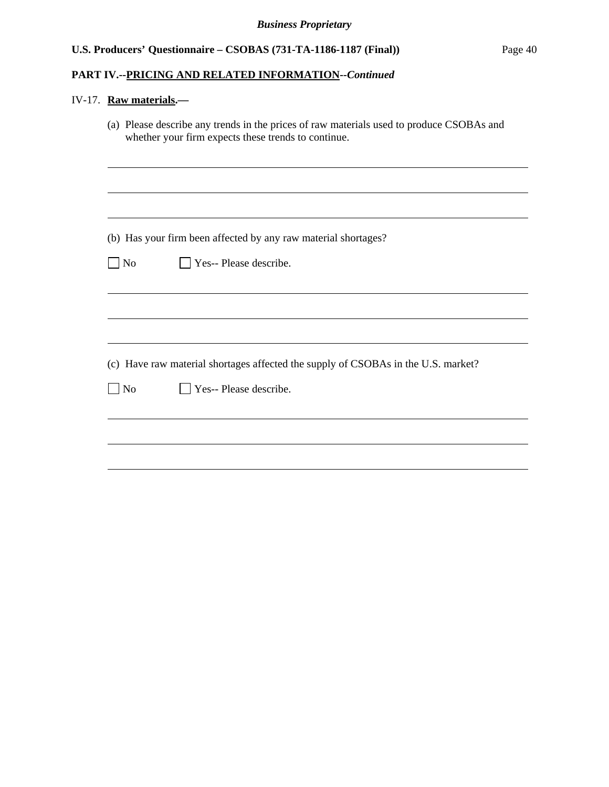## **PART IV.--PRICING AND RELATED INFORMATION***--Continued*

# IV-17. **Raw materials.—**

|                | (a) Please describe any trends in the prices of raw materials used to produce CSOBAs and<br>whether your firm expects these trends to continue. |
|----------------|-------------------------------------------------------------------------------------------------------------------------------------------------|
|                |                                                                                                                                                 |
|                |                                                                                                                                                 |
|                | (b) Has your firm been affected by any raw material shortages?                                                                                  |
| N <sub>o</sub> | Yes-- Please describe.                                                                                                                          |
|                |                                                                                                                                                 |
|                |                                                                                                                                                 |
|                |                                                                                                                                                 |
|                | (c) Have raw material shortages affected the supply of CSOBAs in the U.S. market?                                                               |
| N <sub>o</sub> | $\Box$ Yes-- Please describe.                                                                                                                   |
|                |                                                                                                                                                 |
|                |                                                                                                                                                 |
|                |                                                                                                                                                 |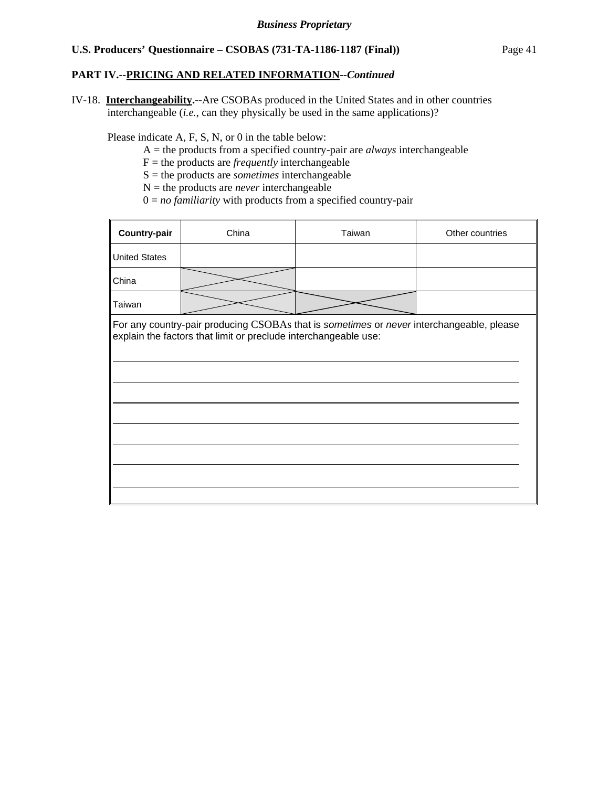### **PART IV.--PRICING AND RELATED INFORMATION***--Continued*

IV-18. **Interchangeability.--**Are CSOBAs produced in the United States and in other countries interchangeable (*i.e.*, can they physically be used in the same applications)?

Please indicate A, F, S, N, or 0 in the table below:

- A = the products from a specified country-pair are *always* interchangeable
- $F =$  the products are *frequently* interchangeable
- S = the products are *sometimes* interchangeable
- $N =$  the products are *never* interchangeable
- $0 = no$  *familiarity* with products from a specified country-pair

| Country-pair                                                                                                                                                | China | Taiwan<br>Other countries |  |  |  |  |  |
|-------------------------------------------------------------------------------------------------------------------------------------------------------------|-------|---------------------------|--|--|--|--|--|
| <b>United States</b>                                                                                                                                        |       |                           |  |  |  |  |  |
| China                                                                                                                                                       |       |                           |  |  |  |  |  |
| Taiwan                                                                                                                                                      |       |                           |  |  |  |  |  |
| For any country-pair producing CSOBAs that is sometimes or never interchangeable, please<br>explain the factors that limit or preclude interchangeable use: |       |                           |  |  |  |  |  |
|                                                                                                                                                             |       |                           |  |  |  |  |  |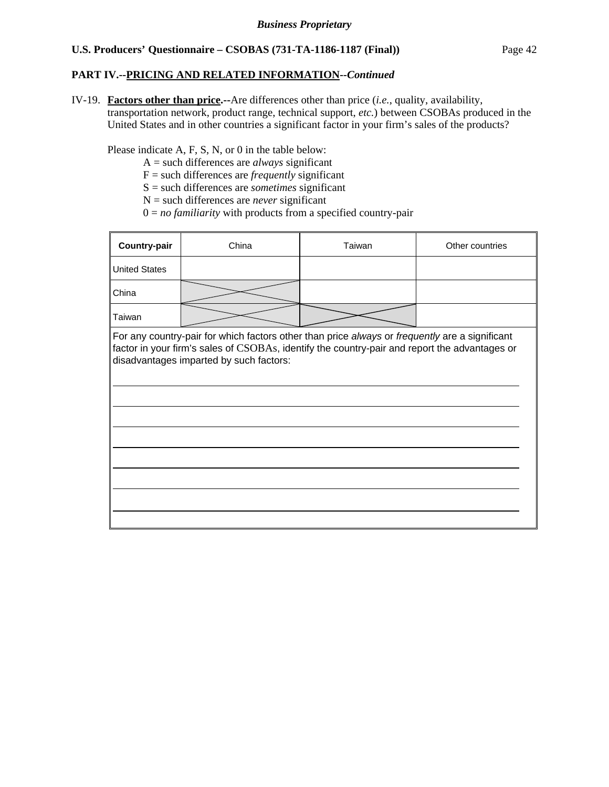## **PART IV.--PRICING AND RELATED INFORMATION***--Continued*

IV-19. **Factors other than price.--**Are differences other than price (*i.e.*, quality, availability, transportation network, product range, technical support, *etc.*) between CSOBAs produced in the United States and in other countries a significant factor in your firm's sales of the products?

Please indicate A, F, S, N, or 0 in the table below:

- A = such differences are *always* significant
- F = such differences are *frequently* significant
- S = such differences are *sometimes* significant
- N = such differences are *never* significant
- 0 = *no familiarity* with products from a specified country-pair

| Country-pair         | China                                                                                                                                                                                                                                      | Taiwan | Other countries |
|----------------------|--------------------------------------------------------------------------------------------------------------------------------------------------------------------------------------------------------------------------------------------|--------|-----------------|
| <b>United States</b> |                                                                                                                                                                                                                                            |        |                 |
| China                |                                                                                                                                                                                                                                            |        |                 |
| Taiwan               |                                                                                                                                                                                                                                            |        |                 |
|                      | For any country-pair for which factors other than price always or frequently are a significant<br>factor in your firm's sales of CSOBAs, identify the country-pair and report the advantages or<br>disadvantages imparted by such factors: |        |                 |
|                      |                                                                                                                                                                                                                                            |        |                 |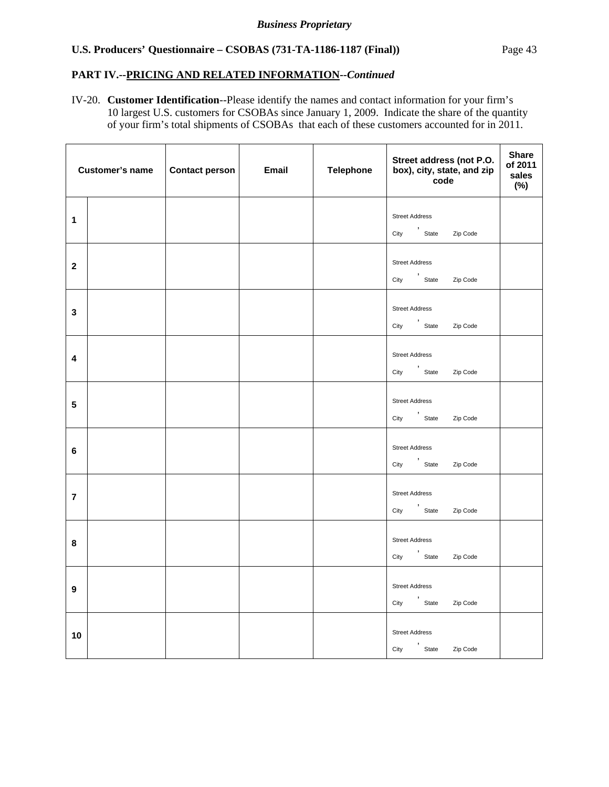## **PART IV.--PRICING AND RELATED INFORMATION***--Continued*

IV-20. **Customer Identification**--Please identify the names and contact information for your firm's 10 largest U.S. customers for CSOBAs since January 1, 2009. Indicate the share of the quantity of your firm's total shipments of CSOBAs that each of these customers accounted for in 2011.

|                  | <b>Customer's name</b> | Contact person | <b>Email</b> | <b>Telephone</b> | Street address (not P.O.<br>box), city, state, and zip<br>code | <b>Share</b><br>of 2011<br>sales<br>$(\%)$ |
|------------------|------------------------|----------------|--------------|------------------|----------------------------------------------------------------|--------------------------------------------|
| 1                |                        |                |              |                  | <b>Street Address</b><br>City 'State Zip Code                  |                                            |
| $\mathbf 2$      |                        |                |              |                  | <b>Street Address</b><br>City 'State Zip Code                  |                                            |
| $\mathbf{3}$     |                        |                |              |                  | <b>Street Address</b><br>City 'State Zip Code                  |                                            |
| 4                |                        |                |              |                  | <b>Street Address</b><br>City 'State Zip Code                  |                                            |
| 5                |                        |                |              |                  | <b>Street Address</b><br>City 'State Zip Code                  |                                            |
| 6                |                        |                |              |                  | <b>Street Address</b><br>City ,<br>State Zip Code              |                                            |
| $\overline{7}$   |                        |                |              |                  | <b>Street Address</b><br>City 'State Zip Code                  |                                            |
| 8                |                        |                |              |                  | <b>Street Address</b><br>City ,<br>State Zip Code              |                                            |
| $\boldsymbol{9}$ |                        |                |              |                  | <b>Street Address</b><br>City ,<br>State Zip Code              |                                            |
| 10               |                        |                |              |                  | <b>Street Address</b><br>City ,<br>State Zip Code              |                                            |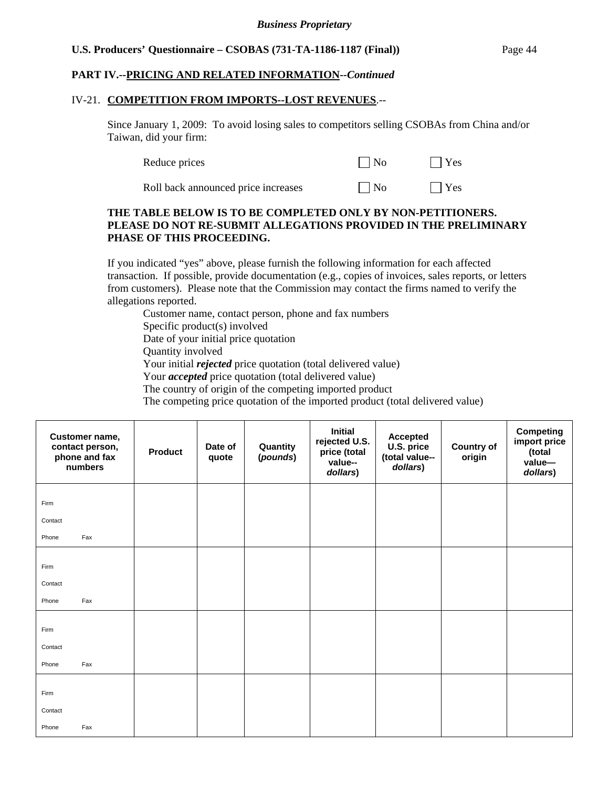## **PART IV.--PRICING AND RELATED INFORMATION***--Continued*

#### IV-21. **COMPETITION FROM IMPORTS--LOST REVENUES**.--

Since January 1, 2009: To avoid losing sales to competitors selling CSOBAs from China and/or Taiwan, did your firm:

| Reduce prices | $\Box$ No | $\Box$ Yes |
|---------------|-----------|------------|
|               |           |            |

| Roll back announced price increases |  | $\Box$ No |  | $\Box$ Yes |
|-------------------------------------|--|-----------|--|------------|
|-------------------------------------|--|-----------|--|------------|

### **THE TABLE BELOW IS TO BE COMPLETED ONLY BY NON-PETITIONERS. PLEASE DO NOT RE-SUBMIT ALLEGATIONS PROVIDED IN THE PRELIMINARY PHASE OF THIS PROCEEDING.**

If you indicated "yes" above, please furnish the following information for each affected transaction. If possible, provide documentation (e.g., copies of invoices, sales reports, or letters from customers). Please note that the Commission may contact the firms named to verify the allegations reported.

Customer name, contact person, phone and fax numbers Specific product(s) involved Date of your initial price quotation Quantity involved Your initial *rejected* price quotation (total delivered value) Your *accepted* price quotation (total delivered value) The country of origin of the competing imported product The competing price quotation of the imported product (total delivered value)

| Customer name,<br>contact person,<br>phone and fax<br>numbers | <b>Product</b> | Date of<br>quote | Quantity<br>(pounds) | <b>Initial</b><br>rejected U.S.<br>price (total<br>value--<br>dollars) | <b>Accepted</b><br>U.S. price<br>(total value--<br>dollars) | <b>Country of</b><br>origin | <b>Competing</b><br>import price<br>(total<br>value-<br>dollars) |
|---------------------------------------------------------------|----------------|------------------|----------------------|------------------------------------------------------------------------|-------------------------------------------------------------|-----------------------------|------------------------------------------------------------------|
| Firm                                                          |                |                  |                      |                                                                        |                                                             |                             |                                                                  |
| Contact                                                       |                |                  |                      |                                                                        |                                                             |                             |                                                                  |
| Fax<br>Phone                                                  |                |                  |                      |                                                                        |                                                             |                             |                                                                  |
| Firm                                                          |                |                  |                      |                                                                        |                                                             |                             |                                                                  |
| Contact                                                       |                |                  |                      |                                                                        |                                                             |                             |                                                                  |
| Fax<br>Phone                                                  |                |                  |                      |                                                                        |                                                             |                             |                                                                  |
| Firm                                                          |                |                  |                      |                                                                        |                                                             |                             |                                                                  |
| Contact                                                       |                |                  |                      |                                                                        |                                                             |                             |                                                                  |
| Fax<br>Phone                                                  |                |                  |                      |                                                                        |                                                             |                             |                                                                  |
| Firm                                                          |                |                  |                      |                                                                        |                                                             |                             |                                                                  |
| Contact                                                       |                |                  |                      |                                                                        |                                                             |                             |                                                                  |
| Fax<br>Phone                                                  |                |                  |                      |                                                                        |                                                             |                             |                                                                  |